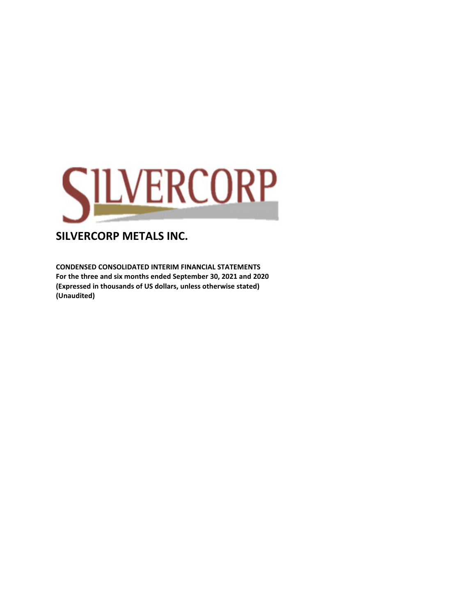

**CONDENSED CONSOLIDATED INTERIM FINANCIAL STATEMENTS For the three and six months ended September 30, 2021 and 2020 (Expressed in thousands of US dollars, unless otherwise stated) (Unaudited)**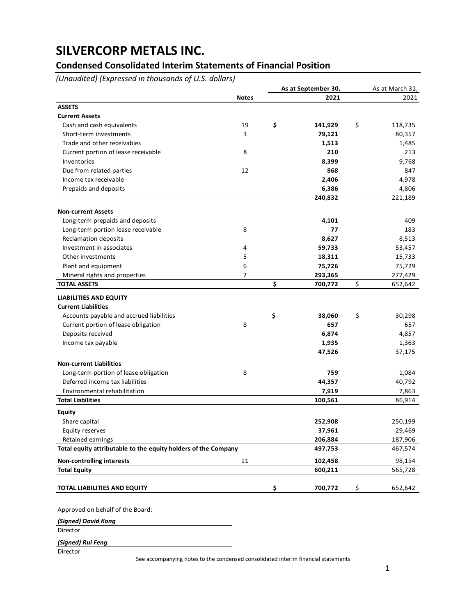### **Condensed Consolidated Interim Statements of Financial Position**

*(Unaudited) (Expressed in thousands of U.S. dollars)*

|                                                                |              | As at September 30,      | As at March 31, |
|----------------------------------------------------------------|--------------|--------------------------|-----------------|
|                                                                | <b>Notes</b> | 2021                     | 2021            |
| <b>ASSETS</b>                                                  |              |                          |                 |
| <b>Current Assets</b>                                          |              |                          |                 |
| Cash and cash equivalents                                      | 19           | \$<br>141,929            | \$<br>118,735   |
| Short-term investments                                         | 3            | 79,121                   | 80,357          |
| Trade and other receivables                                    |              | 1,513                    | 1,485           |
| Current portion of lease receivable                            | 8            | 210                      | 213             |
| Inventories                                                    |              | 8,399                    | 9,768           |
| Due from related parties                                       | 12           | 868                      | 847             |
| Income tax receivable                                          |              | 2,406                    | 4,978           |
| Prepaids and deposits                                          |              | 6,386                    | 4,806           |
|                                                                |              | 240,832                  | 221,189         |
| <b>Non-current Assets</b>                                      |              |                          |                 |
| Long-term prepaids and deposits                                |              | 4,101                    | 409             |
| Long-term portion lease receivable                             | 8            | 77                       | 183             |
| Reclamation deposits                                           |              | 8,627                    | 8,513           |
| Investment in associates                                       | 4            | 59,733                   |                 |
| Other investments                                              | 5            |                          | 53,457          |
|                                                                | 6            | 18,311                   | 15,733          |
| Plant and equipment                                            | 7            | 75,726                   | 75,729          |
| Mineral rights and properties<br><b>TOTAL ASSETS</b>           |              | \$<br>293,365<br>700,772 | 277,429         |
|                                                                |              |                          | \$<br>652,642   |
| <b>LIABILITIES AND EQUITY</b>                                  |              |                          |                 |
| <b>Current Liabilities</b>                                     |              |                          |                 |
| Accounts payable and accrued liabilities                       |              | \$<br>38,060             | \$<br>30,298    |
| Current portion of lease obligation                            | 8            | 657                      | 657             |
| Deposits received                                              |              | 6,874                    | 4,857           |
| Income tax payable                                             |              | 1,935                    | 1,363           |
|                                                                |              | 47,526                   | 37,175          |
| <b>Non-current Liabilities</b>                                 |              |                          |                 |
| Long-term portion of lease obligation                          | 8            | 759                      | 1,084           |
| Deferred income tax liabilities                                |              | 44,357                   | 40,792          |
| Environmental rehabilitation                                   |              | 7,919                    | 7,863           |
| <b>Total Liabilities</b>                                       |              | 100,561                  | 86,914          |
| <b>Equity</b>                                                  |              |                          |                 |
| Share capital                                                  |              | 252,908                  | 250,199         |
| Equity reserves                                                |              | 37,961                   | 29,469          |
| Retained earnings                                              |              | 206,884                  | 187,906         |
| Total equity attributable to the equity holders of the Company |              | 497,753                  | 467,574         |
| <b>Non-controlling interests</b>                               | 11           | 102,458                  | 98,154          |
| <b>Total Equity</b>                                            |              | 600,211                  | 565,728         |
|                                                                |              |                          |                 |
| TOTAL LIABILITIES AND EQUITY                                   |              | \$<br>700,772            | \$<br>652,642   |
| Approved on behalf of the Board:                               |              |                          |                 |
|                                                                |              |                          |                 |
| (Signed) David Kong<br>Director                                |              |                          |                 |
|                                                                |              |                          |                 |

*(Signed) Rui Feng*

Director

See accompanying notes to the condensed consolidated interim financial statements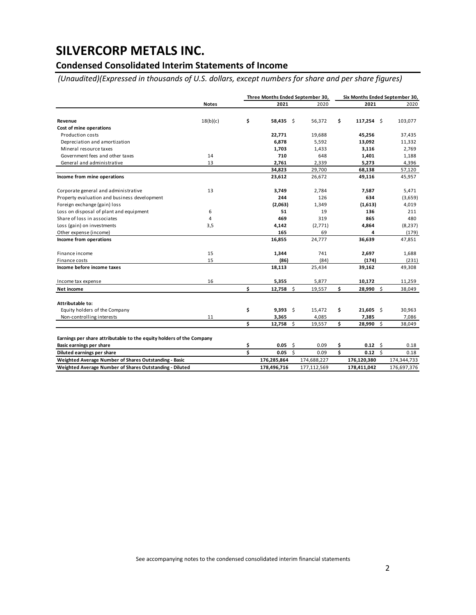### **Condensed Consolidated Interim Statements of Income**

*(Unaudited)(Expressed in thousands of U.S. dollars, except numbers for share and per share figures)*

|                                                                      |              |    | Three Months Ended September 30, |  |             | Six Months Ended September 30, |                 |  |             |  |
|----------------------------------------------------------------------|--------------|----|----------------------------------|--|-------------|--------------------------------|-----------------|--|-------------|--|
|                                                                      | <b>Notes</b> |    | 2021                             |  | 2020        |                                | 2021            |  | 2020        |  |
| Revenue                                                              | 18(b)(c)     | \$ | $58,435$ \$                      |  | 56,372      | \$                             | $117,254$ \$    |  | 103,077     |  |
| Cost of mine operations                                              |              |    |                                  |  |             |                                |                 |  |             |  |
| Production costs                                                     |              |    | 22,771                           |  | 19,688      |                                | 45,256          |  | 37,435      |  |
| Depreciation and amortization                                        |              |    | 6,878                            |  | 5,592       |                                | 13,092          |  | 11,332      |  |
| Mineral resource taxes                                               |              |    | 1,703                            |  | 1,433       |                                | 3,116           |  | 2,769       |  |
| Government fees and other taxes                                      | 14           |    | 710                              |  | 648         |                                | 1,401           |  | 1,188       |  |
| General and administrative                                           | 13           |    | 2,761                            |  | 2,339       |                                | 5,273           |  | 4,396       |  |
|                                                                      |              |    | 34,823                           |  | 29,700      |                                | 68,138          |  | 57,120      |  |
| Income from mine operations                                          |              |    | 23,612                           |  | 26,672      |                                | 49,116          |  | 45,957      |  |
| Corporate general and administrative                                 | 13           |    | 3,749                            |  | 2,784       |                                | 7,587           |  | 5,471       |  |
| Property evaluation and business development                         |              |    | 244                              |  | 126         |                                | 634             |  | (3,659)     |  |
| Foreign exchange (gain) loss                                         |              |    | (2,063)                          |  | 1,349       |                                | (1,613)         |  | 4,019       |  |
| Loss on disposal of plant and equipment                              | 6            |    | 51                               |  | 19          |                                | 136             |  | 211         |  |
| Share of loss in associates                                          | 4            |    | 469                              |  | 319         |                                | 865             |  | 480         |  |
| Loss (gain) on investments                                           | 3,5          |    | 4,142                            |  | (2,771)     |                                | 4,864           |  | (8, 237)    |  |
| Other expense (income)                                               |              |    | 165                              |  | 69          |                                | 4               |  | (179)       |  |
| Income from operations                                               |              |    | 16,855                           |  | 24,777      |                                | 36,639          |  | 47,851      |  |
| Finance income                                                       | 15           |    | 1,344                            |  | 741         |                                | 2,697           |  | 1,688       |  |
| Finance costs                                                        | 15           |    | (86)                             |  | (84)        |                                | (174)           |  | (231)       |  |
| Income before income taxes                                           |              |    | 18,113                           |  | 25,434      |                                | 39,162          |  | 49,308      |  |
| Income tax expense                                                   | 16           |    | 5,355                            |  | 5,877       |                                | 10,172          |  | 11,259      |  |
| Net income                                                           |              | \$ | $12,758$ \$                      |  | 19,557      | \$                             | 28,990 \$       |  | 38,049      |  |
| Attributable to:                                                     |              |    |                                  |  |             |                                |                 |  |             |  |
| Equity holders of the Company                                        |              | \$ | $9,393$ \$                       |  | 15,472      | \$                             | $21,605$ \$     |  | 30,963      |  |
| Non-controlling interests                                            | 11           |    | 3,365                            |  | 4,085       |                                | 7,385           |  | 7,086       |  |
|                                                                      |              | \$ | $12,758$ \$                      |  | 19,557      | \$                             | 28,990 \$       |  | 38,049      |  |
| Earnings per share attributable to the equity holders of the Company |              |    |                                  |  |             |                                |                 |  |             |  |
| Basic earnings per share                                             |              | \$ | $0.05$ \$                        |  | 0.09        | \$                             | $0.12 \quad$ \$ |  | 0.18        |  |
| Diluted earnings per share                                           |              | Ś  | $0.05$ \$                        |  | 0.09        | \$                             | $0.12 \quad$ \$ |  | 0.18        |  |
| Weighted Average Number of Shares Outstanding - Basic                |              |    | 176,285,864                      |  | 174,688,227 |                                | 176,120,380     |  | 174,344,733 |  |
| Weighted Average Number of Shares Outstanding - Diluted              |              |    | 178.496.716                      |  | 177.112.569 |                                | 178,411,042     |  | 176,697,376 |  |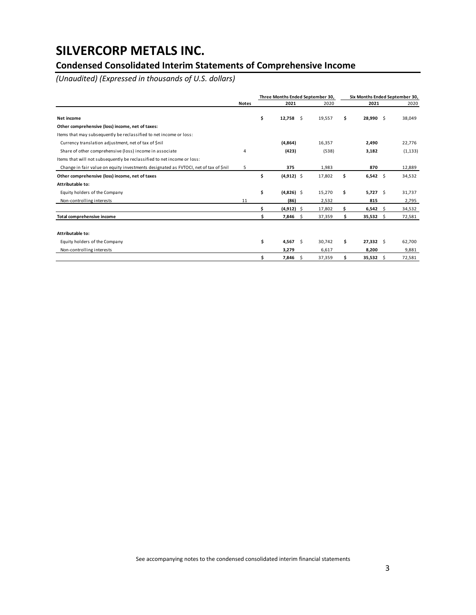### **Condensed Consolidated Interim Statements of Comprehensive Income**

*(Unaudited) (Expressed in thousands of U.S. dollars)*

|                                                                                      |              | Three Months Ended September 30, |               |    |        |     | Six Months Ended September 30, |  |          |  |  |  |
|--------------------------------------------------------------------------------------|--------------|----------------------------------|---------------|----|--------|-----|--------------------------------|--|----------|--|--|--|
|                                                                                      | <b>Notes</b> |                                  | 2021          |    | 2020   |     | 2021                           |  | 2020     |  |  |  |
| Net income                                                                           |              | \$                               | 12,758        | Ŝ. | 19,557 | \$  | 28,990 \$                      |  | 38,049   |  |  |  |
| Other comprehensive (loss) income, net of taxes:                                     |              |                                  |               |    |        |     |                                |  |          |  |  |  |
| Items that may subsequently be reclassified to net income or loss:                   |              |                                  |               |    |        |     |                                |  |          |  |  |  |
| Currency translation adjustment, net of tax of \$nil                                 |              |                                  | (4,864)       |    | 16,357 |     | 2.490                          |  | 22,776   |  |  |  |
| Share of other comprehensive (loss) income in associate                              | 4            |                                  | (423)         |    | (538)  |     | 3,182                          |  | (1, 133) |  |  |  |
| Items that will not subsequently be reclassified to net income or loss:              |              |                                  |               |    |        |     |                                |  |          |  |  |  |
| Change in fair value on equity investments designated as FVTOCI, net of tax of \$nil | 5            |                                  | 375           |    | 1,983  |     | 870                            |  | 12,889   |  |  |  |
| Other comprehensive (loss) income, net of taxes                                      |              | \$                               | $(4,912)$ \$  |    | 17,802 | \$  | $6,542$ \$                     |  | 34,532   |  |  |  |
| Attributable to:                                                                     |              |                                  |               |    |        |     |                                |  |          |  |  |  |
| Equity holders of the Company                                                        |              | \$                               | $(4,826)$ \$  |    | 15,270 | \$  | $5,727$ \$                     |  | 31,737   |  |  |  |
| Non-controlling interests                                                            | 11           |                                  | (86)          |    | 2,532  |     | 815                            |  | 2,795    |  |  |  |
|                                                                                      |              | Ś.                               | $(4, 912)$ \$ |    | 17,802 |     | $6,542$ \$                     |  | 34,532   |  |  |  |
| Total comprehensive income                                                           |              | \$                               | $7,846$ \$    |    | 37,359 | \$  | $35,532$ \$                    |  | 72,581   |  |  |  |
|                                                                                      |              |                                  |               |    |        |     |                                |  |          |  |  |  |
| Attributable to:                                                                     |              |                                  |               |    |        |     |                                |  |          |  |  |  |
| Equity holders of the Company                                                        |              | \$                               | 4,567         | Ŝ. | 30,742 | \$. | $27,332$ \$                    |  | 62,700   |  |  |  |
| Non-controlling interests                                                            |              |                                  | 3,279         |    | 6,617  |     | 8,200                          |  | 9,881    |  |  |  |
|                                                                                      |              | \$                               | 7,846         | \$ | 37,359 | Ś   | $35,532$ \$                    |  | 72,581   |  |  |  |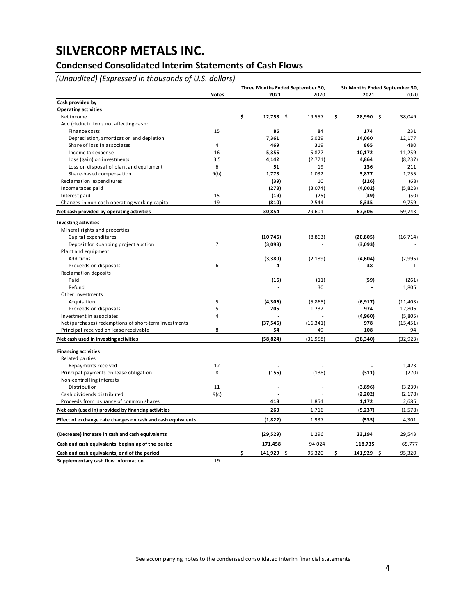### **Condensed Consolidated Interim Statements of Cash Flows**

*(Unaudited) (Expressed in thousands of U.S. dollars)*

|                                                              |                |                    | Three Months Ended September 30, |                  | Six Months Ended September 30, |
|--------------------------------------------------------------|----------------|--------------------|----------------------------------|------------------|--------------------------------|
|                                                              | <b>Notes</b>   | 2021               | 2020                             | 2021             | 2020                           |
| Cash provided by                                             |                |                    |                                  |                  |                                |
| <b>Operating activities</b>                                  |                |                    |                                  |                  |                                |
| Net income                                                   |                | \$<br>12,758<br>\$ | 19,557                           | \$<br>28,990 \$  | 38,049                         |
| Add (deduct) items not affecting cash:                       |                |                    |                                  |                  |                                |
| Finance costs                                                | 15             | 86                 | 84                               | 174              | 231                            |
| Depreciation, amortization and depletion                     |                | 7,361              | 6,029                            | 14,060           | 12,177                         |
| Share of loss in associates                                  | 4              | 469                | 319                              | 865              | 480                            |
| Income tax expense                                           | 16             | 5,355              | 5,877                            | 10,172           | 11,259                         |
| Loss (gain) on investments                                   | 3,5            | 4,142              | (2,771)                          | 4,864            | (8, 237)                       |
| Loss on disposal of plant and equipment                      | 6              | 51                 | 19                               | 136              | 211                            |
| Share-based compensation                                     | 9(b)           | 1,773              | 1,032                            | 3,877            | 1,755                          |
| Reclamation expenditures                                     |                | (39)               | 10                               | (126)            | (68)                           |
| Income taxes paid                                            |                | (273)              | (3,074)                          | (4,002)          | (5,823)                        |
| Interest paid                                                | 15             | (19)               | (25)                             | (39)             | (50)                           |
| Changes in non-cash operating working capital                | 19             | (810)              | 2,544                            | 8,335            | 9,759                          |
| Net cash provided by operating activities                    |                | 30,854             | 29,601                           | 67,306           | 59,743                         |
| <b>Investing activities</b>                                  |                |                    |                                  |                  |                                |
| Mineral rights and properties                                |                |                    |                                  |                  |                                |
| Capital expenditures                                         |                | (10,746)           | (8, 863)                         | (20, 805)        | (16, 714)                      |
| Deposit for Kuanping project auction                         | $\overline{7}$ | (3,093)            |                                  | (3,093)          |                                |
| Plant and equipment                                          |                |                    |                                  |                  |                                |
| Additions                                                    |                | (3,380)            | (2, 189)                         | (4,604)          | (2,995)                        |
| Proceeds on disposals                                        | 6              | 4                  |                                  | 38               | $\mathbf{1}$                   |
| Reclamation deposits                                         |                |                    |                                  |                  |                                |
| Paid                                                         |                | (16)               | (11)                             | (59)             | (261)                          |
| Refund                                                       |                |                    | 30                               |                  | 1,805                          |
| Other investments                                            |                |                    |                                  |                  |                                |
| Acquisition                                                  | 5              | (4,306)            | (5,865)                          | (6, 917)         | (11, 403)                      |
| Proceeds on disposals                                        | 5              | 205                | 1,232                            | 974              | 17,806                         |
| Investment in associates                                     | 4              |                    |                                  | (4,960)          | (5,805)                        |
| Net (purchases) redemptions of short-term investments        |                | (37, 546)          | (16, 341)                        | 978              | (15, 451)                      |
| Principal received on lease receivable                       | 8              | 54                 | 49                               | 108              | 94                             |
| Net cash used in investing activities                        |                | (58, 824)          | (31, 958)                        | (38, 340)        | (32, 923)                      |
| <b>Financing activities</b>                                  |                |                    |                                  |                  |                                |
| Related parties                                              |                |                    |                                  |                  |                                |
| Repayments received                                          | 12             |                    |                                  |                  | 1,423                          |
| Principal payments on lease obligation                       | 8              | (155)              | (138)                            | (311)            | (270)                          |
| Non-controlling interests                                    |                |                    |                                  |                  |                                |
| Distribution                                                 | 11             |                    |                                  | (3,896)          | (3,239)                        |
| Cash dividends distributed                                   | 9(c)           |                    |                                  | (2,202)          | (2, 178)                       |
| Proceeds from issuance of common shares                      |                | 418                | 1,854                            | 1,172            | 2,686                          |
| Net cash (used in) provided by financing activities          |                | 263                | 1,716                            | (5,237)          | (1,578)                        |
| Effect of exchange rate changes on cash and cash equivalents |                | (1,822)            | 1,937                            | (535)            | 4,301                          |
| (Decrease) increase in cash and cash equivalents             |                | (29, 529)          | 1,296                            | 23,194           | 29,543                         |
| Cash and cash equivalents, beginning of the period           |                | 171,458            | 94,024                           | 118,735          | 65,777                         |
| Cash and cash equivalents, end of the period                 |                | \$<br>141,929 \$   | 95,320                           | \$<br>141,929 \$ | 95,320                         |
| Supplementary cash flow information                          | 19             |                    |                                  |                  |                                |

See accompanying notes to the condensed consolidated interim financial statements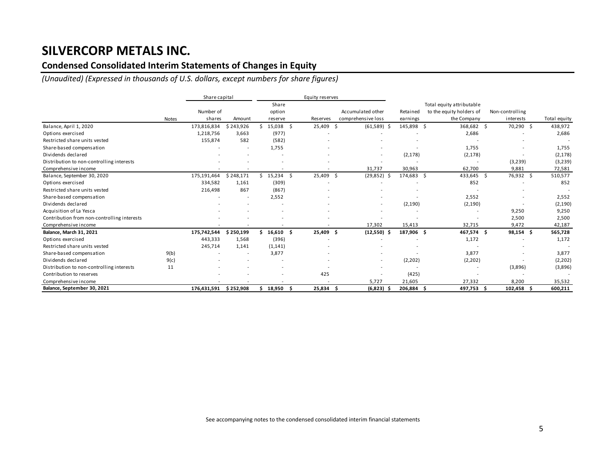### **Condensed Consolidated Interim Statements of Changes in Equity**

*(Unaudited) (Expressed in thousands of U.S. dollars, except numbers for share figures)*

|                                             |       | Share capital |           |          |    | Equity reserves          |     |                    |            |                           |                 |             |              |
|---------------------------------------------|-------|---------------|-----------|----------|----|--------------------------|-----|--------------------|------------|---------------------------|-----------------|-------------|--------------|
|                                             |       |               |           | Share    |    |                          |     |                    |            | Total equity attributable |                 |             |              |
|                                             |       | Number of     |           | option   |    |                          |     | Accumulated other  | Retained   | to the equity holders of  | Non-controlling |             |              |
|                                             | Notes | shares        | Amount    | reserve  |    | Reserves                 |     | comprehensive loss | earnings   | the Company               | interests       |             | Total equity |
| Balance, April 1, 2020                      |       | 173,816,834   | \$243,926 | 15,038   | Ŝ. | 25,409                   | -\$ | $(61,589)$ \$      | 145,898 \$ | 368,682 \$                |                 | 70,290 \$   | 438,972      |
| Options exercised                           |       | 1,218,756     | 3,663     | (977)    |    |                          |     |                    |            | 2,686                     |                 |             | 2,686        |
| Restricted share units vested               |       | 155,874       | 582       | (582)    |    |                          |     |                    |            |                           |                 |             |              |
| Share-based compensation                    |       |               |           | 1,755    |    |                          |     |                    |            | 1,755                     |                 |             | 1,755        |
| Dividends declared                          |       |               |           |          |    |                          |     |                    | (2, 178)   | (2, 178)                  |                 |             | (2, 178)     |
| Distribution to non-controlling interests   |       |               |           |          |    |                          |     |                    |            |                           |                 | (3,239)     | (3, 239)     |
| Comprehensive income                        |       |               |           |          |    |                          |     | 31,737             | 30,963     | 62,700                    |                 | 9,881       | 72,581       |
| Balance, September 30, 2020                 |       | 175,191,464   | \$248,171 | \$15,234 | Ŝ. | 25,409                   | Ŝ.  | (29, 852)          | 174,683 \$ | 433,645 \$                |                 | 76,932 \$   | 510,577      |
| Options exercised                           |       | 334,582       | 1,161     | (309)    |    |                          |     |                    |            | 852                       |                 |             | 852          |
| Restricted share units vested               |       | 216,498       | 867       | (867)    |    |                          |     |                    |            |                           |                 |             |              |
| Share-based compensation                    |       |               |           | 2,552    |    |                          |     |                    |            | 2,552                     |                 |             | 2,552        |
| Dividends declared                          |       |               |           |          |    |                          |     |                    | (2, 190)   | (2, 190)                  |                 |             | (2, 190)     |
| Acquisition of La Yesca                     |       |               |           |          |    |                          |     |                    |            |                           |                 | 9,250       | 9,250        |
| Contribution from non-controlling interests |       |               |           |          |    |                          |     |                    |            |                           |                 | 2,500       | 2,500        |
| Comprehensive income                        |       |               |           |          |    |                          |     | 17,302             | 15,413     | 32,715                    |                 | 9,472       | 42,187       |
| Balance, March 31, 2021                     |       | 175,742,544   | \$250,199 | 16,610   | Ŝ. | 25,409                   | - Ś | $(12,550)$ \$      | 187,906 \$ | 467,574 \$                |                 | $98,154$ \$ | 565,728      |
| Options exercised                           |       | 443,333       | 1,568     | (396)    |    |                          |     |                    |            | 1,172                     |                 |             | 1,172        |
| Restricted share units vested               |       | 245,714       | 1,141     | (1, 141) |    |                          |     |                    |            |                           |                 |             |              |
| Share-based compensation                    | 9(b)  |               |           | 3,877    |    |                          |     |                    |            | 3,877                     |                 |             | 3,877        |
| Dividends declared                          | 9(c)  |               |           |          |    |                          |     |                    | (2,202)    | (2, 202)                  |                 |             | (2,202)      |
| Distribution to non-controlling interests   | 11    |               |           |          |    |                          |     |                    |            |                           |                 | (3,896)     | (3,896)      |
| Contribution to reserves                    |       |               |           |          |    | 425                      |     |                    | (425)      |                           |                 |             |              |
| Comprehensive income                        |       |               |           |          |    | $\overline{\phantom{a}}$ |     | 5,727              | 21,605     | 27,332                    |                 | 8,200       | 35,532       |
| Balance, September 30, 2021                 |       | 176,431,591   | \$252,908 | 18,950   |    | 25,834                   |     | $(6,823)$ \$       | 206,884    | 497,753                   | 102,458         |             | 600,211      |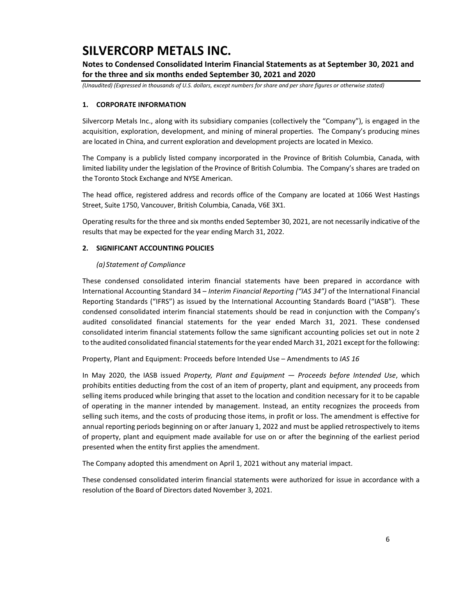**Notes to Condensed Consolidated Interim Financial Statements as at September 30, 2021 and for the three and six months ended September 30, 2021 and 2020**

*(Unaudited) (Expressed in thousands of U.S. dollars, except numbers for share and per share figures or otherwise stated)*

#### **1. CORPORATE INFORMATION**

Silvercorp Metals Inc., along with its subsidiary companies (collectively the "Company"), is engaged in the acquisition, exploration, development, and mining of mineral properties. The Company's producing mines are located in China, and current exploration and development projects are located in Mexico.

The Company is a publicly listed company incorporated in the Province of British Columbia, Canada, with limited liability under the legislation of the Province of British Columbia. The Company's shares are traded on the Toronto Stock Exchange and NYSE American.

The head office, registered address and records office of the Company are located at 1066 West Hastings Street, Suite 1750, Vancouver, British Columbia, Canada, V6E 3X1.

Operating results for the three and six months ended September 30, 2021, are not necessarily indicative of the results that may be expected for the year ending March 31, 2022.

#### **2. SIGNIFICANT ACCOUNTING POLICIES**

#### *(a) Statement of Compliance*

These condensed consolidated interim financial statements have been prepared in accordance with International Accounting Standard 34 – *Interim Financial Reporting ("IAS 34")* of the International Financial Reporting Standards ("IFRS") as issued by the International Accounting Standards Board ("IASB"). These condensed consolidated interim financial statements should be read in conjunction with the Company's audited consolidated financial statements for the year ended March 31, 2021. These condensed consolidated interim financial statements follow the same significant accounting policies set out in note 2 to the audited consolidated financial statements for the year ended March 31, 2021 except for the following:

Property, Plant and Equipment: Proceeds before Intended Use – Amendments to *IAS 16*

In May 2020, the IASB issued *Property, Plant and Equipment — Proceeds before Intended Use*, which prohibits entities deducting from the cost of an item of property, plant and equipment, any proceeds from selling items produced while bringing that asset to the location and condition necessary for it to be capable of operating in the manner intended by management. Instead, an entity recognizes the proceeds from selling such items, and the costs of producing those items, in profit or loss. The amendment is effective for annual reporting periods beginning on or after January 1, 2022 and must be applied retrospectively to items of property, plant and equipment made available for use on or after the beginning of the earliest period presented when the entity first applies the amendment.

The Company adopted this amendment on April 1, 2021 without any material impact.

These condensed consolidated interim financial statements were authorized for issue in accordance with a resolution of the Board of Directors dated November 3, 2021.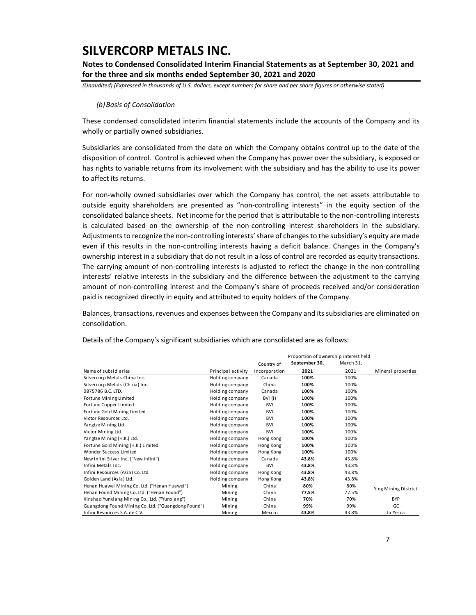**Notes to Condensed Consolidated Interim Financial Statements as at September 30, 2021 and for the three and six months ended September 30, 2021 and 2020**

*(Unaudited) (Expressed in thousands of U.S. dollars, except numbers for share and per share figures or otherwise stated)*

#### *(b)Basis of Consolidation*

These condensed consolidated interim financial statements include the accounts of the Company and its wholly or partially owned subsidiaries.

Subsidiaries are consolidated from the date on which the Company obtains control up to the date of the disposition of control. Control is achieved when the Company has power over the subsidiary, is exposed or has rights to variable returns from its involvement with the subsidiary and has the ability to use its power to affect its returns.

For non-wholly owned subsidiaries over which the Company has control, the net assets attributable to outside equity shareholders are presented as "non-controlling interests" in the equity section of the consolidated balance sheets. Net income for the period that is attributable to the non-controlling interests is calculated based on the ownership of the non-controlling interest shareholders in the subsidiary. Adjustments to recognize the non-controlling interests' share of changes to the subsidiary's equity are made even if this results in the non-controlling interests having a deficit balance. Changes in the Company's ownership interest in a subsidiary that do not result in a loss of control are recorded as equity transactions. The carrying amount of non-controlling interests is adjusted to reflect the change in the non-controlling interests' relative interests in the subsidiary and the difference between the adjustment to the carrying amount of non-controlling interest and the Company's share of proceeds received and/or consideration paid is recognized directly in equity and attributed to equity holders of the Company.

Balances, transactions, revenues and expenses between the Company and its subsidiaries are eliminated on consolidation.

|                                                     |                    | Proportion of ownership interest held |               |           |                      |  |  |
|-----------------------------------------------------|--------------------|---------------------------------------|---------------|-----------|----------------------|--|--|
|                                                     |                    | Country of                            | September 30, | March 31, |                      |  |  |
| Name of subsidiaries                                | Principal activity | incorporation                         | 2021          | 2021      | Mineral properties   |  |  |
| Silvercorp Metals China Inc.                        | Holding company    | Canada                                | 100%          | 100%      |                      |  |  |
| Silvercorp Metals (China) Inc.                      | Holding company    | China                                 | 100%          | 100%      |                      |  |  |
| 0875786 B.C. LTD.                                   | Holding company    | Canada                                | 100%          | 100%      |                      |  |  |
| Fortune Mining Limited                              | Holding company    | BVI (i)                               | 100%          | 100%      |                      |  |  |
| Fortune Copper Limited                              | Holding company    | <b>BVI</b>                            | 100%          | 100%      |                      |  |  |
| Fortune Gold Mining Limited                         | Holding company    | <b>BVI</b>                            | 100%          | 100%      |                      |  |  |
| Victor Resources Ltd.                               | Holding company    | <b>BVI</b>                            | 100%          | 100%      |                      |  |  |
| Yangtze Mining Ltd.                                 | Holding company    | <b>BVI</b>                            | 100%          | 100%      |                      |  |  |
| Victor Mining Ltd.                                  | Holding company    | <b>BVI</b>                            | 100%          | 100%      |                      |  |  |
| Yangtze Mining (H.K.) Ltd.                          | Holding company    | Hong Kong                             | 100%          | 100%      |                      |  |  |
| Fortune Gold Mining (H.K.) Limited                  | Holding company    | Hong Kong                             | 100%          | 100%      |                      |  |  |
| Wonder Success Limited                              | Holding company    | Hong Kong                             | 100%          | 100%      |                      |  |  |
| New Infini Silver Inc. ("New Infini")               | Holding company    | Canada                                | 43.8%         | 43.8%     |                      |  |  |
| Infini Metals Inc.                                  | Holding company    | <b>BVI</b>                            | 43.8%         | 43.8%     |                      |  |  |
| Infini Resources (Asia) Co. Ltd.                    | Holding company    | Hong Kong                             | 43.8%         | 43.8%     |                      |  |  |
| Golden Land (Asia) Ltd.                             | Holding company    | Hong Kong                             | 43.8%         | 43.8%     |                      |  |  |
| Henan Huawei Mining Co. Ltd. ("Henan Huawei")       | Mining             | China                                 | 80%           | 80%       | Ying Mining District |  |  |
| Henan Found Mining Co. Ltd. ("Henan Found")         | Mining             | China                                 | 77.5%         | 77.5%     |                      |  |  |
| Xinshao Yunxiang Mining Co., Ltd. ("Yunxiang")      | Mining             | China                                 | 70%           | 70%       | <b>BYP</b>           |  |  |
| Guangdong Found Mining Co. Ltd. ("Guangdong Found") | Mining             | China                                 | 99%           | 99%       | GC                   |  |  |
| Infini Resources S.A. de C.V.                       | Mining             | Mexico                                | 43.8%         | 43.8%     | La Yesca             |  |  |

Details of the Company's significant subsidiaries which are consolidated are as follows: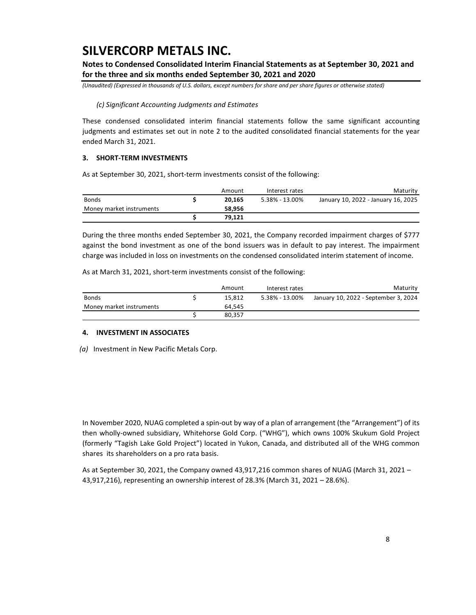**Notes to Condensed Consolidated Interim Financial Statements as at September 30, 2021 and for the three and six months ended September 30, 2021 and 2020**

*(Unaudited) (Expressed in thousands of U.S. dollars, except numbers for share and per share figures or otherwise stated)*

#### *(c) Significant Accounting Judgments and Estimates*

These condensed consolidated interim financial statements follow the same significant accounting judgments and estimates set out in note 2 to the audited consolidated financial statements for the year ended March 31, 2021.

#### **3. SHORT-TERM INVESTMENTS**

As at September 30, 2021, short-term investments consist of the following:

|                          | Amount | Interest rates | Maturity                            |
|--------------------------|--------|----------------|-------------------------------------|
| <b>Bonds</b>             | 20.165 | 5.38% - 13.00% | January 10, 2022 - January 16, 2025 |
| Money market instruments | 58.956 |                |                                     |
|                          | 79.121 |                |                                     |

During the three months ended September 30, 2021, the Company recorded impairment charges of \$777 against the bond investment as one of the bond issuers was in default to pay interest. The impairment charge was included in loss on investments on the condensed consolidated interim statement of income.

As at March 31, 2021, short-term investments consist of the following:

|                          | Amount | Interest rates | Maturity                             |
|--------------------------|--------|----------------|--------------------------------------|
| <b>Bonds</b>             | 15.812 | 5.38% - 13.00% | January 10, 2022 - September 3, 2024 |
| Money market instruments | 64.545 |                |                                      |
|                          | 80.357 |                |                                      |

#### **4. INVESTMENT IN ASSOCIATES**

*(a)* Investment in New Pacific Metals Corp.

In November 2020, NUAG completed a spin-out by way of a plan of arrangement (the "Arrangement") of its then wholly-owned subsidiary, Whitehorse Gold Corp. ("WHG"), which owns 100% Skukum Gold Project (formerly "Tagish Lake Gold Project") located in Yukon, Canada, and distributed all of the WHG common shares its shareholders on a pro rata basis.

As at September 30, 2021, the Company owned 43,917,216 common shares of NUAG (March 31, 2021 – 43,917,216), representing an ownership interest of 28.3% (March 31, 2021 – 28.6%).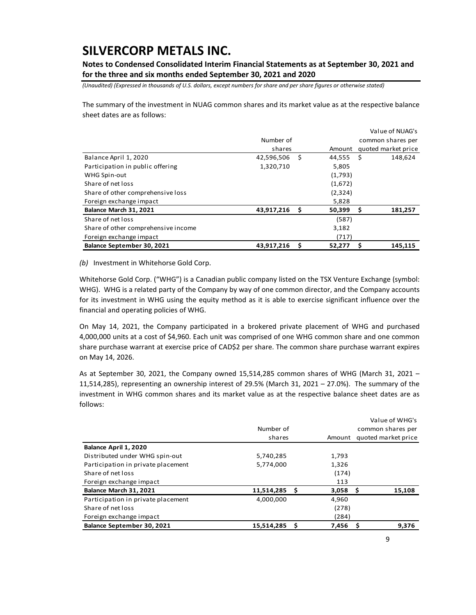**Notes to Condensed Consolidated Interim Financial Statements as at September 30, 2021 and for the three and six months ended September 30, 2021 and 2020**

*(Unaudited) (Expressed in thousands of U.S. dollars, except numbers for share and per share figures or otherwise stated)*

The summary of the investment in NUAG common shares and its market value as at the respective balance sheet dates are as follows:

|                                     |            |      |         |                   | Value of NUAG's     |  |  |
|-------------------------------------|------------|------|---------|-------------------|---------------------|--|--|
|                                     | Number of  |      |         | common shares per |                     |  |  |
|                                     | shares     |      | Amount  |                   | quoted market price |  |  |
| Balance April 1, 2020               | 42,596,506 | - \$ | 44,555  | -S                | 148,624             |  |  |
| Participation in public offering    | 1,320,710  |      | 5,805   |                   |                     |  |  |
| WHG Spin-out                        |            |      | (1,793) |                   |                     |  |  |
| Share of net loss                   |            |      | (1,672) |                   |                     |  |  |
| Share of other comprehensive loss   |            |      | (2,324) |                   |                     |  |  |
| Foreign exchange impact             |            |      | 5,828   |                   |                     |  |  |
| Balance March 31, 2021              | 43,917,216 | - \$ | 50,399  | \$                | 181,257             |  |  |
| Share of net loss                   |            |      | (587)   |                   |                     |  |  |
| Share of other comprehensive income |            |      | 3,182   |                   |                     |  |  |
| Foreign exchange impact             |            |      | (717)   |                   |                     |  |  |
| Balance September 30, 2021          | 43,917,216 | - \$ | 52,277  | S                 | 145,115             |  |  |

*(b)* Investment in Whitehorse Gold Corp.

Whitehorse Gold Corp. ("WHG") is a Canadian public company listed on the TSX Venture Exchange (symbol: WHG). WHG is a related party of the Company by way of one common director, and the Company accounts for its investment in WHG using the equity method as it is able to exercise significant influence over the financial and operating policies of WHG.

On May 14, 2021, the Company participated in a brokered private placement of WHG and purchased 4,000,000 units at a cost of \$4,960. Each unit was comprised of one WHG common share and one common share purchase warrant at exercise price of CAD\$2 per share. The common share purchase warrant expires on May 14, 2026.

As at September 30, 2021, the Company owned 15,514,285 common shares of WHG (March 31, 2021 – 11,514,285), representing an ownership interest of 29.5% (March 31, 2021 – 27.0%). The summary of the investment in WHG common shares and its market value as at the respective balance sheet dates are as follows:

|                                    |            |   | Value of WHG's    |     |                     |  |
|------------------------------------|------------|---|-------------------|-----|---------------------|--|
|                                    | Number of  |   | common shares per |     |                     |  |
|                                    | shares     |   | Amount            |     | quoted market price |  |
| Balance April 1, 2020              |            |   |                   |     |                     |  |
| Distributed under WHG spin-out     | 5,740,285  |   | 1,793             |     |                     |  |
| Participation in private placement | 5,774,000  |   | 1,326             |     |                     |  |
| Share of net loss                  |            |   | (174)             |     |                     |  |
| Foreign exchange impact            |            |   | 113               |     |                     |  |
| Balance March 31, 2021             | 11,514,285 | s | 3,058             | - S | 15,108              |  |
| Participation in private placement | 4,000,000  |   | 4,960             |     |                     |  |
| Share of net loss                  |            |   | (278)             |     |                     |  |
| Foreign exchange impact            |            |   | (284)             |     |                     |  |
| Balance September 30, 2021         | 15,514,285 |   | 7,456             |     | 9,376               |  |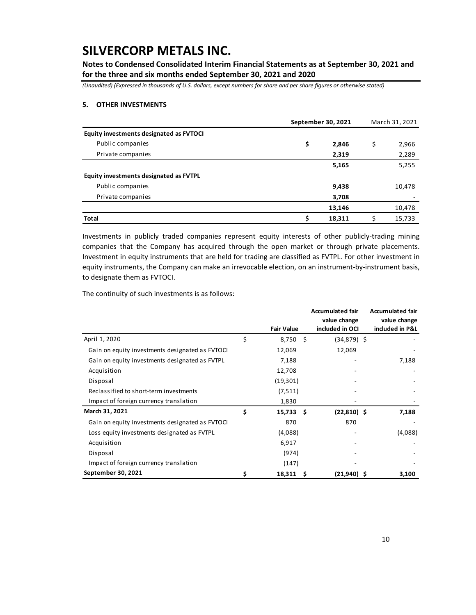**Notes to Condensed Consolidated Interim Financial Statements as at September 30, 2021 and for the three and six months ended September 30, 2021 and 2020**

*(Unaudited) (Expressed in thousands of U.S. dollars, except numbers for share and per share figures or otherwise stated)*

#### **5. OTHER INVESTMENTS**

|                                         |    | September 30, 2021 | March 31, 2021 |
|-----------------------------------------|----|--------------------|----------------|
| Equity investments designated as FVTOCI |    |                    |                |
| Public companies                        | \$ | 2,846              | \$<br>2,966    |
| Private companies                       |    | 2,319              | 2,289          |
|                                         |    | 5,165              | 5,255          |
| Equity investments designated as FVTPL  |    |                    |                |
| Public companies                        |    | 9,438              | 10,478         |
| Private companies                       |    | 3,708              |                |
|                                         |    | 13,146             | 10,478         |
| <b>Total</b>                            | Ś  | 18.311             | 15,733         |

Investments in publicly traded companies represent equity interests of other publicly-trading mining companies that the Company has acquired through the open market or through private placements. Investment in equity instruments that are held for trading are classified as FVTPL. For other investment in equity instruments, the Company can make an irrevocable election, on an instrument-by-instrument basis, to designate them as FVTOCI.

The continuity of such investments is as follows:

|                                                 |                   |    | <b>Accumulated fair</b><br>value change | <b>Accumulated fair</b><br>value change |
|-------------------------------------------------|-------------------|----|-----------------------------------------|-----------------------------------------|
|                                                 | <b>Fair Value</b> |    | included in OCI                         | included in P&L                         |
| April 1, 2020                                   | \$<br>8,750 \$    |    | $(34,879)$ \$                           |                                         |
| Gain on equity investments designated as FVTOCI | 12,069            |    | 12,069                                  |                                         |
| Gain on equity investments designated as FVTPL  | 7,188             |    |                                         | 7,188                                   |
| Acquisition                                     | 12,708            |    |                                         |                                         |
| Disposal                                        | (19, 301)         |    |                                         |                                         |
| Reclassified to short-term investments          | (7, 511)          |    |                                         |                                         |
| Impact of foreign currency translation          | 1,830             |    |                                         |                                         |
| March 31, 2021                                  | \$<br>15,733 \$   |    | $(22,810)$ \$                           | 7,188                                   |
| Gain on equity investments designated as FVTOCI | 870               |    | 870                                     |                                         |
| Loss equity investments designated as FVTPL     | (4,088)           |    |                                         | (4,088)                                 |
| Acquisition                                     | 6,917             |    |                                         |                                         |
| Disposal                                        | (974)             |    |                                         |                                         |
| Impact of foreign currency translation          | (147)             |    |                                         |                                         |
| September 30, 2021                              | \$<br>18,311      | -S | $(21,940)$ \$                           | 3,100                                   |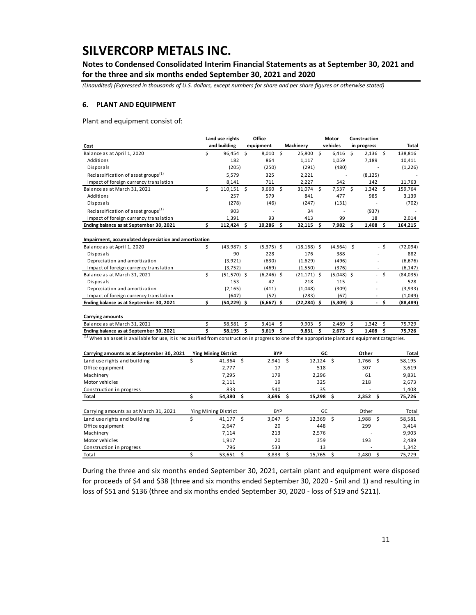**Notes to Condensed Consolidated Interim Financial Statements as at September 30, 2021 and for the three and six months ended September 30, 2021 and 2020**

*(Unaudited) (Expressed in thousands of U.S. dollars, except numbers for share and per share figures or otherwise stated)*

#### **6. PLANT AND EQUIPMENT**

Plant and equipment consist of:

|                                                                                                                                                                                                          | Land use rights |                             |    | Office         |            |                | Motor        |                | Construction |                          |          |                |  |
|----------------------------------------------------------------------------------------------------------------------------------------------------------------------------------------------------------|-----------------|-----------------------------|----|----------------|------------|----------------|--------------|----------------|--------------|--------------------------|----------|----------------|--|
| Cost                                                                                                                                                                                                     |                 | and building                |    | equipment      |            | Machinery      |              | vehicles       |              | in progress              |          | <b>Total</b>   |  |
| Balance as at April 1, 2020                                                                                                                                                                              | \$              | 96,454                      | Ŝ. | 8,010 \$       |            | 25,800 \$      |              | 6,416          | <b>S</b>     | $2,136$ \$               |          | 138,816        |  |
| Additions                                                                                                                                                                                                |                 | 182                         |    | 864            |            | 1,117          |              | 1,059          |              | 7,189                    |          | 10,411         |  |
| Disposals                                                                                                                                                                                                |                 | (205)                       |    | (250)          |            | (291)          |              | (480)          |              |                          |          | (1,226)        |  |
| Reclassification of asset groups <sup>(1)</sup>                                                                                                                                                          |                 | 5,579                       |    | 325            |            | 2,221          |              |                |              | (8, 125)                 |          |                |  |
| Impact of foreign currency translation                                                                                                                                                                   |                 | 8,141                       |    | 711            |            | 2,227          |              | 542            |              | 142                      |          | 11,763         |  |
| Balance as at March 31, 2021                                                                                                                                                                             | \$              | 110,151 \$                  |    | 9,660          | \$         | 31,074 \$      |              | $7,537$ \$     |              | $1,342 \quad $$          |          | 159,764        |  |
| Additions                                                                                                                                                                                                |                 | 257                         |    | 579            |            | 841            |              | 477            |              | 985                      |          | 3,139          |  |
| Disposals                                                                                                                                                                                                |                 | (278)                       |    | (46)           |            | (247)          |              | (131)          |              |                          |          | (702)          |  |
| Reclassification of asset groups <sup>(1)</sup>                                                                                                                                                          |                 | 903                         |    |                |            | 34             |              |                |              | (937)                    |          |                |  |
| Impact of foreign currency translation                                                                                                                                                                   |                 | 1,391                       |    | 93             |            | 413            |              | 99             |              | 18                       |          | 2,014          |  |
| Ending balance as at September 30, 2021                                                                                                                                                                  | Ś               | 112,424                     | \$ | $10,286$ \$    |            | $32,115$ \$    |              | 7,982 \$       |              | $1,408$ \$               |          | 164,215        |  |
| Impairment, accumulated depreciation and amortization                                                                                                                                                    |                 |                             |    |                |            |                |              |                |              |                          |          |                |  |
| Balance as at April 1, 2020                                                                                                                                                                              | \$              | $(43,987)$ \$               |    | $(5,375)$ \$   |            | $(18, 168)$ \$ |              | $(4,564)$ \$   |              |                          | $-5$     | (72,094)       |  |
| Disposals                                                                                                                                                                                                |                 | 90                          |    | 228            |            | 176            |              | 388            |              |                          |          | 882            |  |
| Depreciation and amortization                                                                                                                                                                            |                 | (3,921)                     |    | (630)          |            | (1,629)        |              | (496)          |              |                          |          | (6,676)        |  |
| Impact of foreign currency translation                                                                                                                                                                   |                 | (3,752)                     |    | (469)          |            | (1,550)        |              | (376)          |              | $\overline{\phantom{a}}$ |          | (6, 147)       |  |
| Balance as at March 31, 2021                                                                                                                                                                             | Ś               | $(51,570)$ \$               |    | $(6,246)$ \$   |            | $(21, 171)$ \$ |              | $(5,048)$ \$   |              |                          | \$       | (84,035)       |  |
| Disposals                                                                                                                                                                                                |                 | 153                         |    | 42             |            | 218            |              | 115            |              |                          |          | 528            |  |
| Depreciation and amortization                                                                                                                                                                            |                 | (2, 165)                    |    | (411)          |            | (1,048)        |              | (309)          |              |                          |          | (3,933)        |  |
| Impact of foreign currency translation                                                                                                                                                                   |                 | (647)                       |    | (52)           |            | (283)          |              | (67)           |              |                          |          | (1,049)        |  |
| Ending balance as at September 30, 2021                                                                                                                                                                  | \$              | $(54,229)$ \$               |    | $(6,667)$ \$   |            | $(22, 284)$ \$ |              | $(5,309)$ \$   |              | ä,                       | \$       | (88, 489)      |  |
|                                                                                                                                                                                                          |                 |                             |    |                |            |                |              |                |              |                          |          |                |  |
| <b>Carrying amounts</b>                                                                                                                                                                                  |                 |                             | \$ |                |            |                |              |                | \$           |                          |          |                |  |
| Balance as at March 31, 2021                                                                                                                                                                             | \$<br>\$        | 58,581<br>58,195            | \$ | 3,414<br>3,619 | \$<br>\$   | 9,903<br>9,831 | \$<br>\$     | 2,489<br>2,673 | \$           | 1,342<br>1,408           | \$<br>\$ | 75,729         |  |
| Ending balance as at September 30, 2021<br><sup>(1)</sup> When an asset is available for use, it is reclassified from construction in progress to one of the appropriate plant and equipment categories. |                 |                             |    |                |            |                |              |                |              |                          |          | 75,726         |  |
|                                                                                                                                                                                                          |                 |                             |    |                |            |                |              |                |              |                          |          |                |  |
| Carrying amounts as at September 30, 2021                                                                                                                                                                |                 | <b>Ying Mining District</b> |    |                | <b>BYP</b> |                |              | GC             |              | Other                    |          | Total          |  |
| Land use rights and building                                                                                                                                                                             | \$              | 41.364                      | Ŝ. | 2,941          |            | Ŝ.             | 12,124       | \$             |              | \$<br>1,766              |          | 58,195         |  |
| Office equipment                                                                                                                                                                                         |                 | 2,777                       |    |                | 17         |                | 518          |                |              | 307                      |          | 3,619          |  |
| Machinery                                                                                                                                                                                                |                 | 7,295                       |    | 179            |            |                | 2,296        |                |              | 61                       |          | 9,831          |  |
| Motor vehicles                                                                                                                                                                                           |                 | 2,111                       |    |                | 19         |                | 325          |                |              | 218                      |          | 2,673          |  |
| Construction in progress                                                                                                                                                                                 |                 | 833                         |    | 540            |            |                | 35           |                |              |                          |          | 1,408          |  |
| Total                                                                                                                                                                                                    | Ś               | 54,380                      | Ś. | 3,696          |            | \$             | 15,298       | \$             |              | 2,352<br>Ś.              |          | 75,726         |  |
|                                                                                                                                                                                                          |                 |                             |    |                | <b>BYP</b> |                | GC           |                |              |                          |          |                |  |
| Carrying amounts as at March 31, 2021                                                                                                                                                                    | \$              | Ying Mining District        |    | $3,047$ \$     |            |                |              |                |              | Other                    |          | Total          |  |
| Land use rights and building                                                                                                                                                                             |                 | 41,177 \$                   |    |                |            |                | 448          | $12,369$ \$    |              | 1,988<br>- \$<br>299     |          | 58,581         |  |
| Office equipment                                                                                                                                                                                         |                 | 2,647                       |    |                | 20         |                |              |                |              |                          |          | 3,414          |  |
| Machinery<br>Motor vehicles                                                                                                                                                                              |                 | 7,114                       |    | 213            | 20         |                | 2,576<br>359 |                |              | 193                      |          | 9,903          |  |
| Construction in progress                                                                                                                                                                                 |                 | 1,917<br>796                |    | 533            |            |                | 13           |                |              |                          |          | 2,489<br>1,342 |  |
|                                                                                                                                                                                                          |                 |                             |    |                |            |                |              |                |              |                          |          |                |  |

During the three and six months ended September 30, 2021, certain plant and equipment were disposed for proceeds of \$4 and \$38 (three and six months ended September 30, 2020 - \$nil and 1) and resulting in loss of \$51 and \$136 (three and six months ended September 30, 2020 - loss of \$19 and \$211).

Total \$ 53,651 \$ 3,833 \$ 15,765 \$ 2,480 \$ 75,729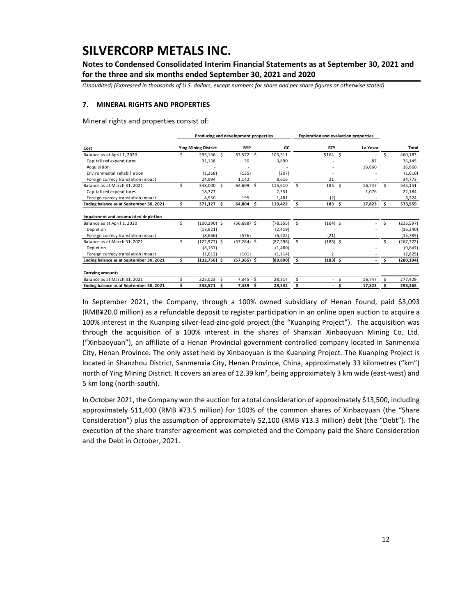**Notes to Condensed Consolidated Interim Financial Statements as at September 30, 2021 and for the three and six months ended September 30, 2021 and 2020**

*(Unaudited) (Expressed in thousands of U.S. dollars, except numbers for share and per share figures or otherwise stated)*

#### **7. MINERAL RIGHTS AND PROPERTIES**

Mineral rights and properties consist of:

|                                         |    | Producing and development properties |     |               |     |           |    | <b>Exploration and evaluation properties</b> |     |                |    |              |
|-----------------------------------------|----|--------------------------------------|-----|---------------|-----|-----------|----|----------------------------------------------|-----|----------------|----|--------------|
| Cost                                    |    | <b>Ying Mining District</b>          |     | <b>BYP</b>    |     | GC        |    | <b>RZY</b>                                   |     | La Yesca       |    | <b>Total</b> |
| Balance as at April 1, 2020             |    | 293,136 \$                           |     | 63,572 \$     |     | 103,311   |    | $$164$ \$                                    |     | $\sim$         | Ś  | 460,183      |
| Capitalized expenditures                |    | 31,138                               |     | 30            |     | 3,890     |    |                                              |     | 87             |    | 35,145       |
| Acquisition                             |    |                                      |     |               |     |           |    |                                              |     | 16,660         |    | 16,660       |
| Environmental rehabiliation             |    | (1,268)                              |     | (135)         |     | (207)     |    |                                              |     |                |    | (1,610)      |
| Foreign currecy translation impact      |    | 24,994                               |     | 1,142         |     | 8,616     |    | 21                                           |     |                |    | 34,773       |
| Balance as at March 31, 2021            | ς  | 348,000                              | -S  | 64,609        | Ŝ.  | 115,610   | Ś  | 185                                          | Ŝ.  | 16,747         | Ś. | 545,151      |
| Capitalized expenditures                |    | 18,777                               |     |               |     | 2,331     |    |                                              |     | 1,076          |    | 22,184       |
| Foreign currecy translation impact      |    | 4.550                                |     | 195           |     | 1.481     |    | (2)                                          |     |                |    | 6,224        |
| Ending balance as at September 30, 2021 | \$ | 371,327                              | Ŝ.  | 64,804        | \$. | 119,422   | \$ | 183                                          | \$. | 17,823         | s  | 573,559      |
| Impairment and accumulated depletion    |    |                                      |     |               |     |           |    |                                              |     |                |    |              |
| Balance as at April 1, 2020             | Ś. | $(100, 390)$ \$                      |     | $(56,688)$ \$ |     | (78, 355) | Š. | $(164)$ \$                                   |     | $\sim$         | Ś  | (235, 597)   |
| Depletion                               |    | (13,921)                             |     |               |     | (2, 419)  |    |                                              |     |                |    | (16, 340)    |
| Foreign currecy translation impact      |    | (8.666)                              |     | (576)         |     | (6, 522)  |    | (21)                                         |     |                |    | (15, 785)    |
| Balance as at March 31, 2021            | Ś  | $(122, 977)$ \$                      |     | $(57,264)$ \$ |     | (87, 296) | Š. | $(185)$ \$                                   |     | $\sim$         | Ś  | (267, 722)   |
| Depletion                               |    | (8, 167)                             |     |               |     | (1,480)   |    |                                              |     |                |    | (9,647)      |
| Foreign currecy translation impact      |    | (1,612)                              |     | (101)         |     | (1, 114)  |    | 2                                            |     |                |    | (2,825)      |
| Ending balance as at September 30, 2021 | \$ | $(132,756)$ \$                       |     | $(57,365)$ \$ |     | (89, 890) | \$ | $(183)$ \$                                   |     | $\blacksquare$ | \$ | (280, 194)   |
| <b>Carrying amounts</b>                 |    |                                      |     |               |     |           |    |                                              |     |                |    |              |
| Balance as at March 31, 2021            |    | 225.023                              |     | 7,345         | Ś   | 28,314    | \$ |                                              | Ŝ   | 16,747         |    | 277,429      |
| Ending balance as at September 30, 2021 |    | 238,571                              | \$. | 7,439         | Ś   | 29,532    | \$ |                                              | \$. | 17,823         |    | 293,365      |

In September 2021, the Company, through a 100% owned subsidiary of Henan Found, paid \$3,093 (RMB¥20.0 million) as a refundable deposit to register participation in an online open auction to acquire a 100% interest in the Kuanping silver-lead-zinc-gold project (the "Kuanping Project"). The acquisition was through the acquisition of a 100% interest in the shares of Shanxian Xinbaoyuan Mining Co. Ltd. ("Xinbaoyuan"), an affiliate of a Henan Provincial government-controlled company located in Sanmenxia City, Henan Province. The only asset held by Xinbaoyuan is the Kuanping Project. The Kuanping Project is located in Shanzhou District, Sanmenxia City, Henan Province, China, approximately 33 kilometres ("km") north of Ying Mining District. It covers an area of 12.39 km<sup>2</sup>, being approximately 3 km wide (east-west) and 5 km long (north-south).

In October 2021, the Company won the auction for a total consideration of approximately \$13,500, including approximately \$11,400 (RMB ¥73.5 million) for 100% of the common shares of Xinbaoyuan (the "Share Consideration") plus the assumption of approximately \$2,100 (RMB ¥13.3 million) debt (the "Debt"). The execution of the share transfer agreement was completed and the Company paid the Share Consideration and the Debt in October, 2021.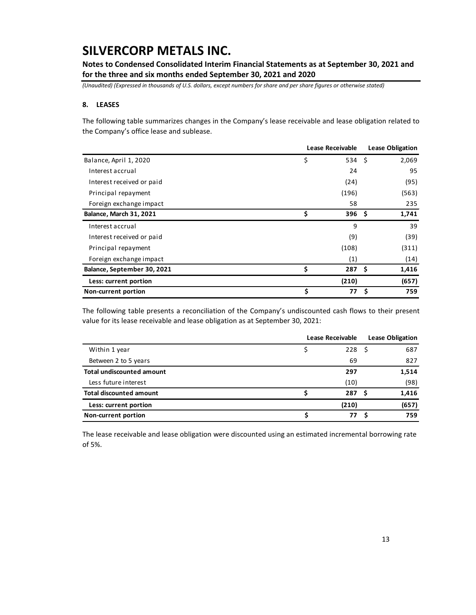**Notes to Condensed Consolidated Interim Financial Statements as at September 30, 2021 and for the three and six months ended September 30, 2021 and 2020**

*(Unaudited) (Expressed in thousands of U.S. dollars, except numbers for share and per share figures or otherwise stated)*

#### **8. LEASES**

The following table summarizes changes in the Company's lease receivable and lease obligation related to the Company's office lease and sublease.

|                                | Lease Receivable |    | <b>Lease Obligation</b> |
|--------------------------------|------------------|----|-------------------------|
| Balance, April 1, 2020         | \$<br>534 \$     |    | 2,069                   |
| Interest accrual               | 24               |    | 95                      |
| Interest received or paid      | (24)             |    | (95)                    |
| Principal repayment            | (196)            |    | (563)                   |
| Foreign exchange impact        | 58               |    | 235                     |
| <b>Balance, March 31, 2021</b> | \$<br>396 \$     |    | 1,741                   |
| Interest accrual               | 9                |    | 39                      |
| Interest received or paid      | (9)              |    | (39)                    |
| Principal repayment            | (108)            |    | (311)                   |
| Foreign exchange impact        | (1)              |    | (14)                    |
| Balance, September 30, 2021    | \$<br>287S       |    | 1,416                   |
| Less: current portion          | (210)            |    | (657)                   |
| Non-current portion            | \$<br>77         | Ŝ. | 759                     |

The following table presents a reconciliation of the Company's undiscounted cash flows to their present value for its lease receivable and lease obligation as at September 30, 2021:

|                                  | Lease Receivable | <b>Lease Obligation</b> |       |  |
|----------------------------------|------------------|-------------------------|-------|--|
| Within 1 year                    |                  | 228 <sup>5</sup>        | 687   |  |
| Between 2 to 5 years             |                  | 69                      | 827   |  |
| <b>Total undiscounted amount</b> |                  | 297                     | 1,514 |  |
| Less future interest             |                  | (10)                    | (98)  |  |
| <b>Total discounted amount</b>   |                  | 287                     | 1,416 |  |
| Less: current portion            |                  | (210)                   | (657) |  |
| Non-current portion              |                  | 77                      | 759   |  |

The lease receivable and lease obligation were discounted using an estimated incremental borrowing rate of 5%.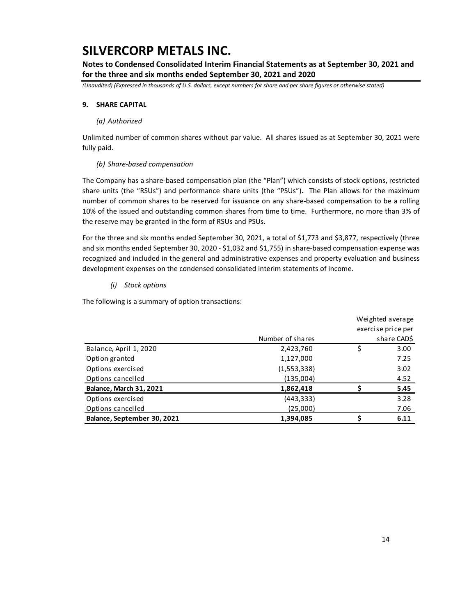**Notes to Condensed Consolidated Interim Financial Statements as at September 30, 2021 and for the three and six months ended September 30, 2021 and 2020**

*(Unaudited) (Expressed in thousands of U.S. dollars, except numbers for share and per share figures or otherwise stated)*

#### **9. SHARE CAPITAL**

#### *(a) Authorized*

Unlimited number of common shares without par value. All shares issued as at September 30, 2021 were fully paid.

#### *(b) Share-based compensation*

The Company has a share-based compensation plan (the "Plan") which consists of stock options, restricted share units (the "RSUs") and performance share units (the "PSUs"). The Plan allows for the maximum number of common shares to be reserved for issuance on any share-based compensation to be a rolling 10% of the issued and outstanding common shares from time to time. Furthermore, no more than 3% of the reserve may be granted in the form of RSUs and PSUs.

For the three and six months ended September 30, 2021, a total of \$1,773 and \$3,877, respectively (three and six months ended September 30, 2020 - \$1,032 and \$1,755) in share-based compensation expense was recognized and included in the general and administrative expenses and property evaluation and business development expenses on the condensed consolidated interim statements of income.

#### *(i) Stock options*

The following is a summary of option transactions:

|                             |                  | Weighted average   |
|-----------------------------|------------------|--------------------|
|                             |                  | exercise price per |
|                             | Number of shares | share CAD\$        |
| Balance, April 1, 2020      | 2,423,760        | \$<br>3.00         |
| Option granted              | 1,127,000        | 7.25               |
| Options exercised           | (1,553,338)      | 3.02               |
| Options cancelled           | (135,004)        | 4.52               |
| Balance, March 31, 2021     | 1,862,418        | 5.45               |
| Options exercised           | (443, 333)       | 3.28               |
| Options cancelled           | (25,000)         | 7.06               |
| Balance, September 30, 2021 | 1,394,085        | 6.11               |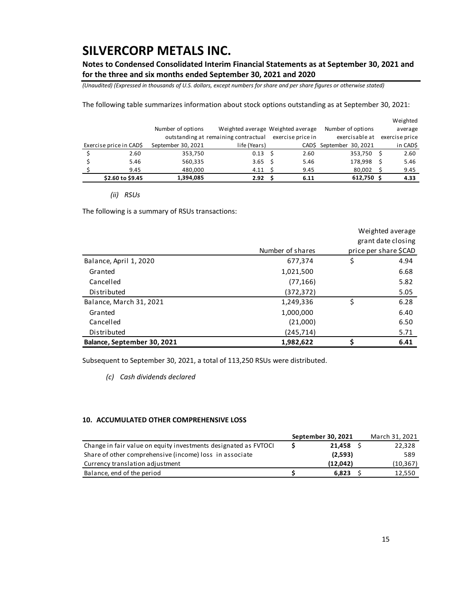**Notes to Condensed Consolidated Interim Financial Statements as at September 30, 2021 and for the three and six months ended September 30, 2021 and 2020**

*(Unaudited) (Expressed in thousands of U.S. dollars, except numbers for share and per share figures or otherwise stated)*

The following table summarizes information about stock options outstanding as at September 30, 2021:

|                         |                    |                                      |                                   |                          | Weighted       |
|-------------------------|--------------------|--------------------------------------|-----------------------------------|--------------------------|----------------|
|                         | Number of options  |                                      | Weighted average Weighted average | Number of options        | average        |
|                         |                    | outstanding at remaining contractual | exercise price in                 | exercisable at           | exercise price |
| Exercise price in CAD\$ | September 30, 2021 | life (Years)                         |                                   | CAD\$ September 30, 2021 | in CAD\$       |
| 2.60                    | 353,750            | $0.13 \quad$ \$                      | 2.60                              | 353.750                  | 2.60           |
| 5.46                    | 560,335            | $3.65 \quad$ \$                      | 5.46                              | 178,998                  | 5.46           |
| 9.45                    | 480.000            | 4.11 <sub>5</sub>                    | 9.45                              | 80.002                   | 9.45           |
| \$2.60 to \$9.45        | 1,394,085          | 2.92                                 | 6.11                              | 612,750 \$               | 4.33           |

#### *(ii) RSUs*

The following is a summary of RSUs transactions:

|                             |                  |                    | Weighted average      |  |  |
|-----------------------------|------------------|--------------------|-----------------------|--|--|
|                             |                  | grant date closing |                       |  |  |
|                             | Number of shares |                    | price per share \$CAD |  |  |
| Balance, April 1, 2020      | 677,374          | \$                 | 4.94                  |  |  |
| Granted                     | 1,021,500        |                    | 6.68                  |  |  |
| Cancelled                   | (77, 166)        |                    | 5.82                  |  |  |
| Distributed                 | (372,372)        |                    | 5.05                  |  |  |
| Balance, March 31, 2021     | 1,249,336        | \$                 | 6.28                  |  |  |
| Granted                     | 1,000,000        |                    | 6.40                  |  |  |
| Cancelled                   | (21,000)         |                    | 6.50                  |  |  |
| Distributed                 | (245, 714)       |                    | 5.71                  |  |  |
| Balance, September 30, 2021 | 1,982,622        | Ś                  | 6.41                  |  |  |

Subsequent to September 30, 2021, a total of 113,250 RSUs were distributed.

*(c) Cash dividends declared*

#### **10. ACCUMULATED OTHER COMPREHENSIVE LOSS**

|                                                                 | September 30, 2021 | March 31, 2021 |
|-----------------------------------------------------------------|--------------------|----------------|
| Change in fair value on equity investments designated as FVTOCI | 21,458             | 22,328         |
| Share of other comprehensive (income) loss in associate         | (2,593)            | 589            |
| Currency translation adjustment                                 | (12.042)           | (10, 367)      |
| Balance, end of the period                                      | 6.823              | 12,550         |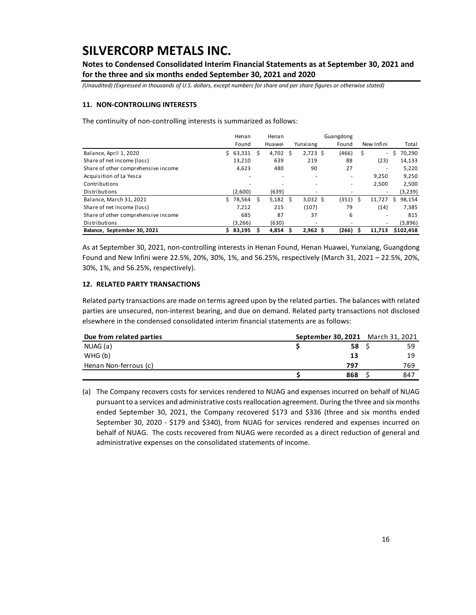**Notes to Condensed Consolidated Interim Financial Statements as at September 30, 2021 and for the three and six months ended September 30, 2021 and 2020**

*(Unaudited) (Expressed in thousands of U.S. dollars, except numbers for share and per share figures or otherwise stated)*

#### **11. NON-CONTROLLING INTERESTS**

The continuity of non-controlling interests is summarized as follows:

|                                     | Henan        |    | Henan                    |    |            | Guangdong                |   |                                |              |
|-------------------------------------|--------------|----|--------------------------|----|------------|--------------------------|---|--------------------------------|--------------|
|                                     | Found        |    | Huawei                   |    | Yunxiang   | Found                    |   | New Infini                     | Total        |
| Balance, April 1, 2020              | 63,331<br>Ś. | S. | 4.702                    | Ŝ. | $2,723$ \$ | (466)                    |   | \$<br>$\overline{\phantom{a}}$ | 70,290<br>.S |
| Share of net income (loss)          | 13,210       |    | 639                      |    | 219        | 88                       |   | (23)                           | 14,133       |
| Share of other comprehensive income | 4,623        |    | 480                      |    | 90         | 27                       |   | ٠                              | 5,220        |
| Acquisition of La Yesca             |              |    | $\overline{\phantom{a}}$ |    | ۰          | $\overline{\phantom{a}}$ |   | 9.250                          | 9,250        |
| Contributions                       |              |    | ۰                        |    |            |                          |   | 2,500                          | 2,500        |
| Distributions                       | (2.600)      |    | (639)                    |    |            |                          |   |                                | (3,239)      |
| Balance, March 31, 2021             | 78,564<br>S. |    | $5,182 \quad $$          |    | $3,032$ \$ | (351)                    | Ś | 11,727                         | 98,154<br>S  |
| Share of net income (loss)          | 7,212        |    | 215                      |    | (107)      | 79                       |   | (14)                           | 7,385        |
| Share of other comprehensive income | 685          |    | 87                       |    | 37         | 6                        |   | ٠                              | 815          |
| Distributions                       | (3,266)      |    | (630)                    |    | -          |                          |   | ٠                              | (3,896)      |
| Balance, September 30, 2021         | 83,195<br>Ś. |    | 4.854                    | S  | $2,962$ \$ | (266)                    |   | 11.713                         | \$102.458    |

As at September 30, 2021, non-controlling interests in Henan Found, Henan Huawei, Yunxiang, Guangdong Found and New Infini were 22.5%, 20%, 30%, 1%, and 56.25%, respectively (March 31, 2021 – 22.5%, 20%, 30%, 1%, and 56.25%, respectively).

#### **12. RELATED PARTY TRANSACTIONS**

Related party transactions are made on terms agreed upon by the related parties. The balances with related parties are unsecured, non-interest bearing, and due on demand. Related party transactions not disclosed elsewhere in the condensed consolidated interim financial statements are as follows:

| Due from related parties | September 30, 2021 March 31, 2021 |      |     |
|--------------------------|-----------------------------------|------|-----|
| NUAG (a)                 |                                   | 58 S | 59  |
| WHG(b)                   |                                   | 13   | 19  |
| Henan Non-ferrous (c)    |                                   | 797  | 769 |
|                          |                                   | 868  | 847 |

(a) The Company recovers costs for services rendered to NUAG and expenses incurred on behalf of NUAG pursuant to a services and administrative costs reallocation agreement. During the three and six months ended September 30, 2021, the Company recovered \$173 and \$336 (three and six months ended September 30, 2020 - \$179 and \$340), from NUAG for services rendered and expenses incurred on behalf of NUAG. The costs recovered from NUAG were recorded as a direct reduction of general and administrative expenses on the consolidated statements of income.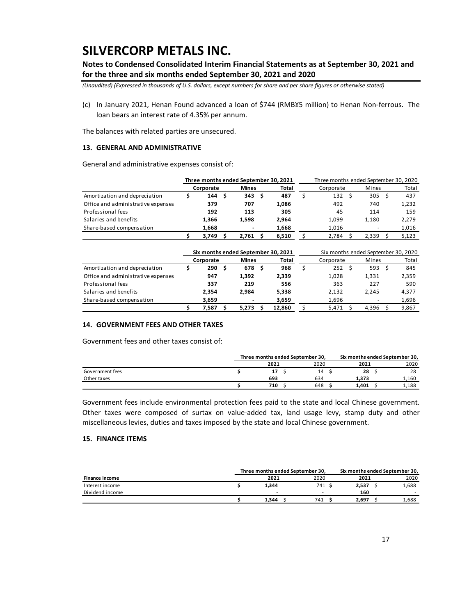**Notes to Condensed Consolidated Interim Financial Statements as at September 30, 2021 and for the three and six months ended September 30, 2021 and 2020**

*(Unaudited) (Expressed in thousands of U.S. dollars, except numbers for share and per share figures or otherwise stated)*

(c) In January 2021, Henan Found advanced a loan of \$744 (RMB¥5 million) to Henan Non-ferrous. The loan bears an interest rate of 4.35% per annum.

The balances with related parties are unsecured.

#### **13. GENERAL AND ADMINISTRATIVE**

General and administrative expenses consist of:

|                                    | Three months ended September 30, 2021 |           |  |                          |  |       |  |           |       | Three months ended September 30, 2020 |       |  |
|------------------------------------|---------------------------------------|-----------|--|--------------------------|--|-------|--|-----------|-------|---------------------------------------|-------|--|
|                                    |                                       | Corporate |  | <b>Mines</b>             |  | Total |  | Corporate | Mines |                                       | Total |  |
| Amortization and depreciation      |                                       | 144       |  | 343                      |  | 487   |  | 132       |       | 305                                   | 437   |  |
| Office and administrative expenses |                                       | 379       |  | 707                      |  | 1.086 |  | 492       |       | 740                                   | 1,232 |  |
| Professional fees                  |                                       | 192       |  | 113                      |  | 305   |  | 45        | 114   |                                       | 159   |  |
| Salaries and benefits              |                                       | 1.366     |  | 1.598                    |  | 2.964 |  | 1,099     | 1.180 |                                       | 2,279 |  |
| Share-based compensation           |                                       | 1.668     |  | $\overline{\phantom{a}}$ |  | 1,668 |  | 1,016     |       | $\overline{\phantom{a}}$              | 1,016 |  |
|                                    |                                       | 3.749     |  | 2.761                    |  | 6,510 |  | 2.784     | 2,339 |                                       | 5,123 |  |

|                                    | Six months ended September 30, 2021 |                                    |     |       |           |        |       | Six months ended September 30, 2020 |       |       |  |       |  |
|------------------------------------|-------------------------------------|------------------------------------|-----|-------|-----------|--------|-------|-------------------------------------|-------|-------|--|-------|--|
|                                    |                                     | <b>Mines</b><br>Total<br>Corporate |     |       | Corporate |        | Mines |                                     | Total |       |  |       |  |
| Amortization and depreciation      |                                     | 290                                | - S | 678   |           | 968    |       | 252                                 |       | 593   |  | 845   |  |
| Office and administrative expenses |                                     | 947                                |     | 1,392 |           | 2,339  |       | 1,028                               |       | 1,331 |  | 2,359 |  |
| Professional fees                  |                                     | 337                                |     | 219   |           | 556    |       | 363                                 |       | 227   |  | 590   |  |
| Salaries and benefits              |                                     | 2.354                              |     | 2.984 |           | 5,338  |       | 2,132                               |       | 2,245 |  | 4,377 |  |
| Share-based compensation           |                                     | 3,659                              |     |       |           | 3,659  |       | 1,696                               |       |       |  | 1,696 |  |
|                                    |                                     | 7.587                              |     | 5.273 |           | 12,860 |       | 5,471                               |       | 4,396 |  | 9,867 |  |

#### **14. GOVERNMENT FEES AND OTHER TAXES**

Government fees and other taxes consist of:

|                 |      | Three months ended September 30, | Six months ended September 30, |  |       |  |  |
|-----------------|------|----------------------------------|--------------------------------|--|-------|--|--|
|                 | 2021 | 2020                             | 2021                           |  | 2020  |  |  |
| Government fees | 17   | 14                               | 28                             |  | 28    |  |  |
| Other taxes     | 693  | 634                              | 1.373                          |  | 1.160 |  |  |
|                 | 710  | 648                              | 1,401                          |  | 1.188 |  |  |

Government fees include environmental protection fees paid to the state and local Chinese government. Other taxes were composed of surtax on value-added tax, land usage levy, stamp duty and other miscellaneous levies, duties and taxes imposed by the state and local Chinese government.

#### **15. FINANCE ITEMS**

|                 | Three months ended September 30. |      |       | Six months ended September 30. |  |  |
|-----------------|----------------------------------|------|-------|--------------------------------|--|--|
| Finance income  | 2021                             | 2020 | 2021  | 2020                           |  |  |
| Interest income | 1.344                            | 741  | 2.537 | 1,688                          |  |  |
| Dividend income | -                                | -    | 160   |                                |  |  |
|                 | 1.344                            | 741  | 2.697 | 1,688                          |  |  |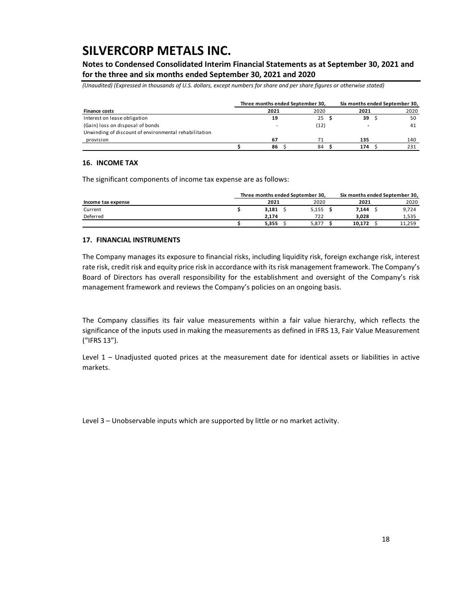**Notes to Condensed Consolidated Interim Financial Statements as at September 30, 2021 and for the three and six months ended September 30, 2021 and 2020**

*(Unaudited) (Expressed in thousands of U.S. dollars, except numbers for share and per share figures or otherwise stated)*

|                                                                                           | Three months ended September 30, |      | Six months ended September 30, |      |  |  |  |  |
|-------------------------------------------------------------------------------------------|----------------------------------|------|--------------------------------|------|--|--|--|--|
| <b>Finance costs</b>                                                                      | 2021                             | 2020 | 2021                           | 2020 |  |  |  |  |
| Interest on lease obligation                                                              | 19                               | 25S  | 39                             | 50   |  |  |  |  |
| (Gain) loss on disposal of bonds<br>Unwinding of discount of environmental rehabilitation |                                  | (12) |                                | 41   |  |  |  |  |
| provision                                                                                 | 67                               |      | 135                            | 140  |  |  |  |  |
|                                                                                           | 86                               | 84   | 174                            |      |  |  |  |  |

#### **16. INCOME TAX**

The significant components of income tax expense are as follows:

|                    | Three months ended September 30, |       |        | Six months ended September 30, |  |  |
|--------------------|----------------------------------|-------|--------|--------------------------------|--|--|
| Income tax expense | 2021                             | 2020  | 2021   | 2020                           |  |  |
| Current            | 3.181                            | 5,155 | 7.144  | 9,724                          |  |  |
| Deferred           | 2.174                            | 722   | 3.028  | 1,535                          |  |  |
|                    | 5.355                            | 5.877 | 10.172 | 11,259                         |  |  |

#### **17. FINANCIAL INSTRUMENTS**

The Company manages its exposure to financial risks, including liquidity risk, foreign exchange risk, interest rate risk, credit risk and equity price risk in accordance with its risk management framework. The Company's Board of Directors has overall responsibility for the establishment and oversight of the Company's risk management framework and reviews the Company's policies on an ongoing basis.

The Company classifies its fair value measurements within a fair value hierarchy, which reflects the significance of the inputs used in making the measurements as defined in IFRS 13, Fair Value Measurement ("IFRS 13").

Level 1 – Unadjusted quoted prices at the measurement date for identical assets or liabilities in active markets.

Level 3 – Unobservable inputs which are supported by little or no market activity.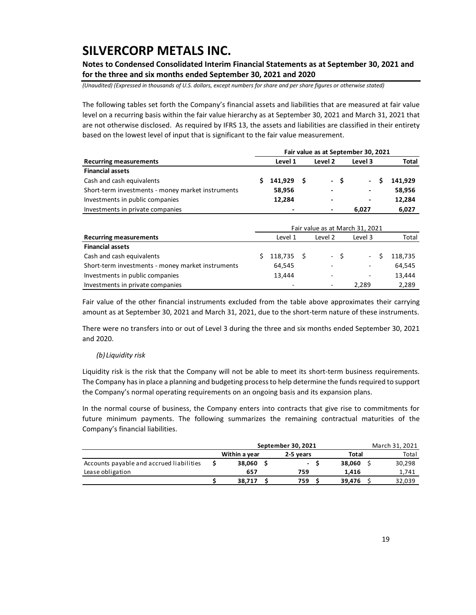**Notes to Condensed Consolidated Interim Financial Statements as at September 30, 2021 and for the three and six months ended September 30, 2021 and 2020**

*(Unaudited) (Expressed in thousands of U.S. dollars, except numbers for share and per share figures or otherwise stated)*

The following tables set forth the Company's financial assets and liabilities that are measured at fair value level on a recurring basis within the fair value hierarchy as at September 30, 2021 and March 31, 2021 that are not otherwise disclosed. As required by IFRS 13, the assets and liabilities are classified in their entirety based on the lowest level of input that is significant to the fair value measurement.

|                                                   | Fair value as at September 30, 2021 |              |  |   |      |       |  |         |  |  |  |  |  |
|---------------------------------------------------|-------------------------------------|--------------|--|---|------|-------|--|---------|--|--|--|--|--|
| <b>Recurring measurements</b>                     | Level 1<br>Level 2<br>Level 3       |              |  |   |      |       |  | Total   |  |  |  |  |  |
| <b>Financial assets</b>                           |                                     |              |  |   |      |       |  |         |  |  |  |  |  |
| Cash and cash equivalents                         |                                     | $141,929$ \$ |  |   | $-S$ |       |  | 141.929 |  |  |  |  |  |
| Short-term investments - money market instruments |                                     | 58,956       |  | ٠ |      | ٠     |  | 58,956  |  |  |  |  |  |
| Investments in public companies                   |                                     | 12.284       |  | ٠ |      | ٠     |  | 12,284  |  |  |  |  |  |
| Investments in private companies                  |                                     |              |  | ٠ |      | 6.027 |  | 6.027   |  |  |  |  |  |

|                                                   | Fair value as at March 31, 2021 |                          |  |         |         |                          |         |  |  |  |  |  |
|---------------------------------------------------|---------------------------------|--------------------------|--|---------|---------|--------------------------|---------|--|--|--|--|--|
| <b>Recurring measurements</b>                     |                                 | Level 1                  |  | Level 2 | Level 3 |                          |         |  |  |  |  |  |
| <b>Financial assets</b>                           |                                 |                          |  |         |         |                          |         |  |  |  |  |  |
| Cash and cash equivalents                         |                                 | 118,735 \$               |  | $-S$    |         | $\sim$                   | 118.735 |  |  |  |  |  |
| Short-term investments - money market instruments |                                 | 64,545                   |  | ۰       |         | $\overline{\phantom{a}}$ | 64,545  |  |  |  |  |  |
| Investments in public companies                   |                                 | 13.444                   |  | ۰       |         | ۰                        | 13.444  |  |  |  |  |  |
| Investments in private companies                  |                                 | $\overline{\phantom{0}}$ |  | ۰       | 2.289   |                          | 2,289   |  |  |  |  |  |

Fair value of the other financial instruments excluded from the table above approximates their carrying amount as at September 30, 2021 and March 31, 2021, due to the short-term nature of these instruments.

There were no transfers into or out of Level 3 during the three and six months ended September 30, 2021 and 2020.

#### *(b) Liquidity risk*

Liquidity risk is the risk that the Company will not be able to meet its short-term business requirements. The Company has in place a planning and budgeting process to help determine the funds required to support the Company's normal operating requirements on an ongoing basis and its expansion plans.

In the normal course of business, the Company enters into contracts that give rise to commitments for future minimum payments. The following summarizes the remaining contractual maturities of the Company's financial liabilities.

|                                          | September 30, 2021 | March 31, 2021 |  |        |  |        |
|------------------------------------------|--------------------|----------------|--|--------|--|--------|
|                                          | Within a year      | 2-5 vears      |  |        |  | Total  |
| Accounts payable and accrued liabilities | 38.060             | $\sim$         |  | 38.060 |  | 30,298 |
| Lease obligation                         | 657                | 759            |  | 1.416  |  | 1,741  |
|                                          | 38.717             | 759            |  | 39.476 |  | 32,039 |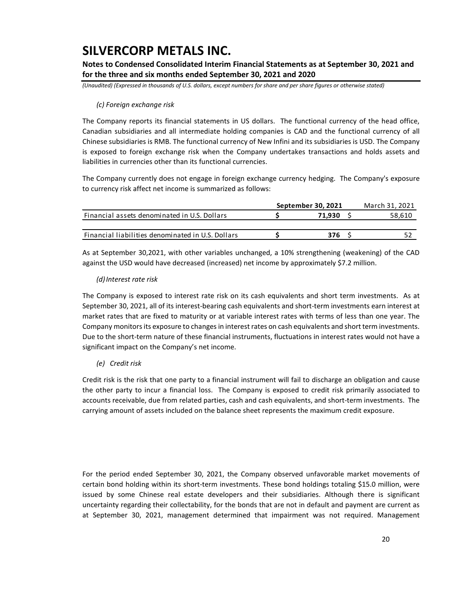**Notes to Condensed Consolidated Interim Financial Statements as at September 30, 2021 and for the three and six months ended September 30, 2021 and 2020**

*(Unaudited) (Expressed in thousands of U.S. dollars, except numbers for share and per share figures or otherwise stated)*

#### *(c) Foreign exchange risk*

The Company reports its financial statements in US dollars. The functional currency of the head office, Canadian subsidiaries and all intermediate holding companies is CAD and the functional currency of all Chinese subsidiaries is RMB. The functional currency of New Infini and its subsidiaries is USD. The Company is exposed to foreign exchange risk when the Company undertakes transactions and holds assets and liabilities in currencies other than its functional currencies.

The Company currently does not engage in foreign exchange currency hedging. The Company's exposure to currency risk affect net income is summarized as follows:

|                                                   | September 30, 2021 | March 31, 2021 |
|---------------------------------------------------|--------------------|----------------|
| Financial assets denominated in U.S. Dollars      | 71.930             | 58,610         |
|                                                   |                    |                |
| Financial liabilities denominated in U.S. Dollars | 376                |                |

As at September 30,2021, with other variables unchanged, a 10% strengthening (weakening) of the CAD against the USD would have decreased (increased) net income by approximately \$7.2 million.

#### *(d)Interest rate risk*

The Company is exposed to interest rate risk on its cash equivalents and short term investments. As at September 30, 2021, all of its interest-bearing cash equivalents and short-term investments earn interest at market rates that are fixed to maturity or at variable interest rates with terms of less than one year. The Company monitors its exposure to changes in interest rates on cash equivalents and short term investments. Due to the short-term nature of these financial instruments, fluctuations in interest rates would not have a significant impact on the Company's net income.

#### *(e) Credit risk*

Credit risk is the risk that one party to a financial instrument will fail to discharge an obligation and cause the other party to incur a financial loss. The Company is exposed to credit risk primarily associated to accounts receivable, due from related parties, cash and cash equivalents, and short-term investments. The carrying amount of assets included on the balance sheet represents the maximum credit exposure.

For the period ended September 30, 2021, the Company observed unfavorable market movements of certain bond holding within its short-term investments. These bond holdings totaling \$15.0 million, were issued by some Chinese real estate developers and their subsidiaries. Although there is significant uncertainty regarding their collectability, for the bonds that are not in default and payment are current as at September 30, 2021, management determined that impairment was not required. Management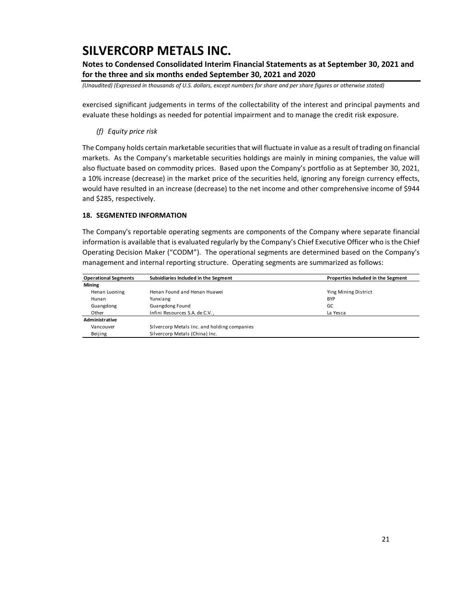**Notes to Condensed Consolidated Interim Financial Statements as at September 30, 2021 and for the three and six months ended September 30, 2021 and 2020**

*(Unaudited) (Expressed in thousands of U.S. dollars, except numbers for share and per share figures or otherwise stated)*

exercised significant judgements in terms of the collectability of the interest and principal payments and evaluate these holdings as needed for potential impairment and to manage the credit risk exposure.

*(f) Equity price risk*

The Company holds certain marketable securities that will fluctuate in value as a result of trading on financial markets. As the Company's marketable securities holdings are mainly in mining companies, the value will also fluctuate based on commodity prices. Based upon the Company's portfolio as at September 30, 2021, a 10% increase (decrease) in the market price of the securities held, ignoring any foreign currency effects, would have resulted in an increase (decrease) to the net income and other comprehensive income of \$944 and \$285, respectively.

#### **18. SEGMENTED INFORMATION**

The Company's reportable operating segments are components of the Company where separate financial information is available that is evaluated regularly by the Company's Chief Executive Officer who is the Chief Operating Decision Maker ("CODM"). The operational segments are determined based on the Company's management and internal reporting structure. Operating segments are summarized as follows:

| <b>Operational Segments</b> | Subsidiaries Included in the Segment         | Properties Included in the Segment |
|-----------------------------|----------------------------------------------|------------------------------------|
| <b>Mining</b>               |                                              |                                    |
| Henan Luoning               | Henan Found and Henan Huawei                 | Ying Mining District               |
| Hunan                       | Yunxiang                                     | <b>BYP</b>                         |
| Guangdong                   | Guangdong Found                              | GC                                 |
| Other                       | Infini Resources S.A. de C.V.,               | La Yesca                           |
| Administrative              |                                              |                                    |
| Vancouver                   | Silvercorp Metals Inc. and holding companies |                                    |
| Beijing                     | Silvercorp Metals (China) Inc.               |                                    |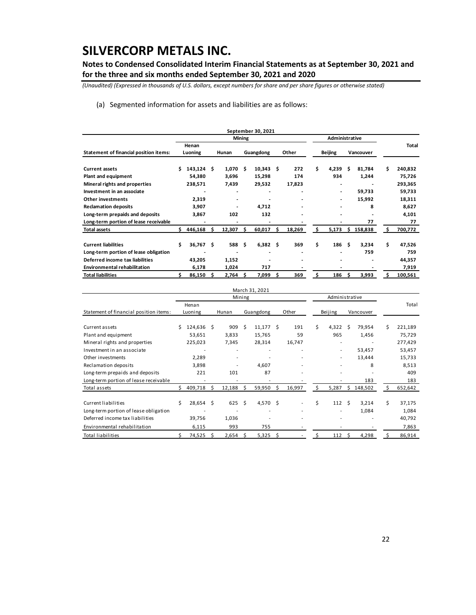**Notes to Condensed Consolidated Interim Financial Statements as at September 30, 2021 and for the three and six months ended September 30, 2021 and 2020**

*(Unaudited) (Expressed in thousands of U.S. dollars, except numbers for share and per share figures or otherwise stated)*

(a) Segmented information for assets and liabilities are as follows:

|                                        |    |                  |   |        |        | September 30, 2021 |     |        |                |                |    |                |    |         |
|----------------------------------------|----|------------------|---|--------|--------|--------------------|-----|--------|----------------|----------------|----|----------------|----|---------|
|                                        |    |                  |   |        | Mining |                    |     |        | Administrative |                |    |                |    |         |
| Statement of financial position items: |    | Henan<br>Luoning |   |        |        |                    |     | Other  |                |                |    | Vancouver      |    | Total   |
|                                        |    |                  |   | Hunan  |        | Guangdong          |     |        |                | <b>Beijing</b> |    |                |    |         |
| <b>Current assets</b>                  | Ś  | $143,124$ \$     |   | 1,070  | - \$   | 10,343             | \$  | 272    | \$             | 4,239          | Ŝ. | 81,784         | Ś  | 240,832 |
| Plant and equipment                    |    | 54,380           |   | 3,696  |        | 15,298             |     | 174    |                | 934            |    | 1,244          |    | 75,726  |
| Mineral rights and properties          |    | 238,571          |   | 7,439  |        | 29,532             |     | 17,823 |                | ٠              |    | $\blacksquare$ |    | 293,365 |
| Investment in an associate             |    |                  |   |        |        |                    |     |        |                |                |    | 59,733         |    | 59,733  |
| Other investments                      |    | 2,319            |   |        |        |                    |     |        |                |                |    | 15,992         |    | 18,311  |
| <b>Reclamation deposits</b>            |    | 3,907            |   |        |        | 4,712              |     |        |                |                |    | 8              |    | 8,627   |
| Long-term prepaids and deposits        |    | 3,867            |   | 102    |        | 132                |     |        |                |                |    |                |    | 4,101   |
| Long-term portion of lease receivable  |    |                  |   |        |        |                    |     |        |                |                |    | 77             |    | 77      |
| <b>Total assets</b>                    | ς. | 446,168          | S | 12,307 | S      | 60,017             | \$. | 18,269 | \$.            | 5,173          | s. | 158,838        | Ś  | 700,772 |
| <b>Current liabilities</b>             | Ś  | $36,767$ \$      |   | 588 \$ |        | 6,382              | \$  | 369    | \$             | 186            | Ŝ  | 3,234          | Ś  | 47,526  |
| Long-term portion of lease obligation  |    |                  |   |        |        | ٠                  |     |        |                |                |    | 759            |    | 759     |
| Deferred income tax liabilities        |    | 43,205           |   | 1,152  |        |                    |     |        |                |                |    |                |    | 44,357  |
| <b>Environmental rehabilitation</b>    |    | 6,178            |   | 1,024  |        | 717                |     |        |                |                |    |                |    | 7,919   |
| <b>Total liabilities</b>               | s  | 86,150           | S | 2,764  | S      | 7,099              | \$. | 369    | Ś              | 186            | S  | 3,993          | Ś. | 100,561 |

|                                        |    |             |    |                          |        | March 31, 2021 |    |        |    |                |      |           |    |         |
|----------------------------------------|----|-------------|----|--------------------------|--------|----------------|----|--------|----|----------------|------|-----------|----|---------|
|                                        |    |             |    |                          | Mining |                |    |        |    | Administrative |      |           |    |         |
|                                        |    | Henan       |    |                          |        |                |    |        |    |                |      |           |    | Total   |
| Statement of financial position items: |    | Luoning     |    | Hunan                    |        | Guangdong      |    | Other  |    | Beijing        |      | Vancouver |    |         |
|                                        |    |             |    |                          |        |                |    |        |    |                |      |           |    |         |
| Current assets                         | Ś  | 124,636 \$  |    | 909                      | Ś      | 11,177         | Ŝ  | 191    | Ś. | 4,322          | -Ś   | 79,954    | Ś  | 221,189 |
| Plant and equipment                    |    | 53,651      |    | 3,833                    |        | 15,765         |    | 59     |    | 965            |      | 1,456     |    | 75,729  |
| Mineral rights and properties          |    | 225,023     |    | 7,345                    |        | 28,314         |    | 16,747 |    | ۰              |      |           |    | 277,429 |
| Investment in an associate             |    |             |    | $\overline{\phantom{a}}$ |        |                |    |        |    | $\sim$         |      | 53,457    |    | 53,457  |
| Other investments                      |    | 2,289       |    |                          |        |                |    |        |    |                |      | 13,444    |    | 15,733  |
| Reclamation deposits                   |    | 3,898       |    |                          |        | 4,607          |    |        |    |                |      | 8         |    | 8,513   |
| Long-term prepaids and deposits        |    | 221         |    | 101                      |        | 87             |    |        |    |                |      |           |    | 409     |
| Long-term portion of lease receivable  |    |             |    |                          |        |                |    |        |    |                |      | 183       |    | 183     |
| Total assets                           | Ś. | 409,718     | S  | 12,188                   | Ŝ      | 59,950         | Ŝ. | 16,997 | \$ | 5,287          | Ŝ.   | 148,502   | s  | 652,642 |
| Current liabilities                    | Ś  | $28,654$ \$ |    | 625S                     |        | 4,570 \$       |    |        | Ś  | 112            | - \$ | 3,214     | \$ | 37,175  |
| Long-term portion of lease obligation  |    |             |    |                          |        |                |    |        |    |                |      | 1,084     |    | 1,084   |
| Deferred income tax liabilities        |    | 39,756      |    | 1,036                    |        |                |    |        |    |                |      |           |    | 40,792  |
| Environmental rehabilitation           |    | 6,115       |    | 993                      |        | 755            |    |        |    |                |      |           |    | 7,863   |
| <b>Total liabilities</b>               |    | 74,525      | .s | 2,654                    | Ŝ      | 5,325          | Ŝ  |        |    | 112            | -Ŝ   | 4,298     |    | 86,914  |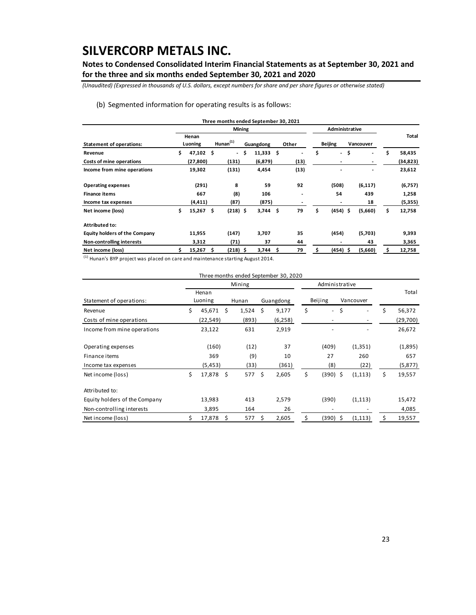**Notes to Condensed Consolidated Interim Financial Statements as at September 30, 2021 and for the three and six months ended September 30, 2021 and 2020**

*(Unaudited) (Expressed in thousands of U.S. dollars, except numbers for share and per share figures or otherwise stated)*

#### (b) Segmented information for operating results is as follows:

|                                      |    |             |     | Three months ended September 30, 2021 |                        |                |                                |                                    |              |
|--------------------------------------|----|-------------|-----|---------------------------------------|------------------------|----------------|--------------------------------|------------------------------------|--------------|
|                                      |    |             |     | Mining                                |                        |                | Administrative                 |                                    |              |
|                                      |    | Henan       |     |                                       |                        |                |                                |                                    | Total        |
| <b>Statement of operations:</b>      |    | Luoning     |     | $H$ unan $(1)$                        | Guangdong              | Other          | <b>Beijing</b>                 | Vancouver                          |              |
| Revenue                              | \$ | 47,102 \$   |     | $\overline{\phantom{0}}$              | \$<br>$11,333 \quad $$ | $\blacksquare$ | \$<br>$\overline{\phantom{0}}$ | \$<br>$\qquad \qquad \blacksquare$ | \$<br>58,435 |
| Costs of mine operations             |    | (27, 800)   |     | (131)                                 | (6, 879)               | (13)           | ٠                              | $\qquad \qquad \blacksquare$       | (34, 823)    |
| Income from mine operations          |    | 19,302      |     | (131)                                 | 4,454                  | (13)           |                                | $\blacksquare$                     | 23,612       |
| <b>Operating expenses</b>            |    | (291)       |     | 8                                     | 59                     | 92             | (508)                          | (6, 117)                           | (6,757)      |
| <b>Finance items</b>                 |    | 667         |     | (8)                                   | 106                    |                | 54                             | 439                                | 1,258        |
| Income tax expenses                  |    | (4, 411)    |     | (87)                                  | (875)                  |                | ٠                              | 18                                 | (5,355)      |
| Net income (loss)                    | \$ | 15,267      | -\$ | $(218)$ \$                            | $3,744$ \$             | 79             | \$<br>$(454)$ \$               | (5,660)                            | \$<br>12,758 |
| <b>Attributed to:</b>                |    |             |     |                                       |                        |                |                                |                                    |              |
| <b>Equity holders of the Company</b> |    | 11,955      |     | (147)                                 | 3,707                  | 35             | (454)                          | (5,703)                            | 9,393        |
| Non-controlling interests            |    | 3,312       |     | (71)                                  | 37                     | 44             | ٠                              | 43                                 | 3,365        |
| Net income (loss)                    | Ś  | $15,267$ \$ |     | $(218)$ \$                            | $3,744$ \$             | 79             | \$<br>$(454)$ \$               | (5,660)                            | \$<br>12,758 |
|                                      |    |             |     |                                       |                        |                |                                |                                    |              |

(1) Hunan's BYP project was placed on care and maintenance starting August 2014.

|                               |                 |    |        |    | Three months ended September 30, 2020 |                      |    |           |    |          |
|-------------------------------|-----------------|----|--------|----|---------------------------------------|----------------------|----|-----------|----|----------|
|                               |                 |    | Mining |    |                                       | Administrative       |    |           |    |          |
|                               | Henan           |    |        |    |                                       |                      |    |           |    | Total    |
| Statement of operations:      | Luoning         |    | Hunan  |    | Guangdong                             | Beijing              |    | Vancouver |    |          |
| Revenue                       | \$<br>45,671    | Ŝ. | 1,524  | Ŝ. | 9,177                                 | \$<br>$\blacksquare$ | \$ |           | Ś. | 56,372   |
| Costs of mine operations      | (22, 549)       |    | (893)  |    | (6, 258)                              |                      |    |           |    | (29,700) |
| Income from mine operations   | 23,122          |    | 631    |    | 2,919                                 |                      |    |           |    | 26,672   |
| Operating expenses            | (160)           |    | (12)   |    | 37                                    | (409)                |    | (1, 351)  |    | (1,895)  |
| Finance items                 | 369             |    | (9)    |    | 10                                    | 27                   |    | 260       |    | 657      |
| Income tax expenses           | (5, 453)        |    | (33)   |    | (361)                                 | (8)                  |    | (22)      |    | (5,877)  |
| Net income (loss)             | \$<br>17,878 \$ |    | 577 \$ |    | 2,605                                 | \$<br>$(390)$ \$     |    | (1, 113)  | \$ | 19,557   |
| Attributed to:                |                 |    |        |    |                                       |                      |    |           |    |          |
| Equity holders of the Company | 13,983          |    | 413    |    | 2,579                                 | (390)                |    | (1, 113)  |    | 15,472   |
| Non-controlling interests     | 3,895           |    | 164    |    | 26                                    |                      |    |           |    | 4,085    |
| Net income (loss)             | 17,878          | Ŝ. | 577    | S  | 2,605                                 | (390) \$             |    | (1, 113)  |    | 19,557   |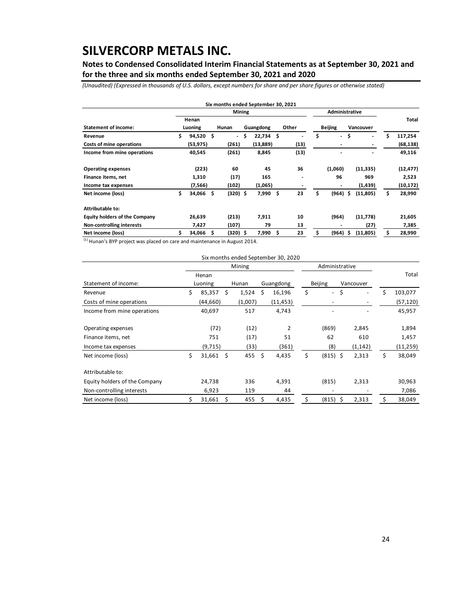**Notes to Condensed Consolidated Interim Financial Statements as at September 30, 2021 and for the three and six months ended September 30, 2021 and 2020**

*(Unaudited) (Expressed in thousands of U.S. dollars, except numbers for share and per share figures or otherwise stated)*

|                                      |                   | Six months ended September 30, 2021 |   |             |    |       |                |                          |    |                              |    |           |
|--------------------------------------|-------------------|-------------------------------------|---|-------------|----|-------|----------------|--------------------------|----|------------------------------|----|-----------|
|                                      |                   | <b>Mining</b>                       |   |             |    |       | Administrative |                          |    |                              |    |           |
|                                      | Henan             |                                     |   |             |    |       |                |                          |    |                              |    | Total     |
| <b>Statement of income:</b>          | Luoning           | Hunan                               |   | Guangdong   |    | Other |                | <b>Beijing</b>           |    | Vancouver                    |    |           |
| Revenue                              | \$<br>$94,520$ \$ | $\frac{1}{2}$                       | Ŝ | $22,734$ \$ |    |       | \$             | $\overline{\phantom{a}}$ | \$ | $\overline{\phantom{0}}$     | Ś  | 117,254   |
| Costs of mine operations             | (53, 975)         | (261)                               |   | (13, 889)   |    | (13)  |                | ٠                        |    | $\qquad \qquad \blacksquare$ |    | (68, 138) |
| Income from mine operations          | 40,545            | (261)                               |   | 8,845       |    | (13)  |                |                          |    | $\blacksquare$               |    | 49,116    |
| <b>Operating expenses</b>            | (223)             | 60                                  |   | 45          |    | 36    |                | (1,060)                  |    | (11, 335)                    |    | (12, 477) |
| Finance items, net                   | 1,310             | (17)                                |   | 165         |    | ٠     |                | 96                       |    | 969                          |    | 2,523     |
| Income tax expenses                  | (7,566)           | (102)                               |   | (1,065)     |    |       |                | $\overline{\phantom{a}}$ |    | (1, 439)                     |    | (10, 172) |
| Net income (loss)                    | \$<br>34,066 \$   | $(320)$ \$                          |   | 7,990       | \$ | 23    | \$             | (964)                    | Ŝ  | (11, 805)                    | \$ | 28,990    |
| Attributable to:                     |                   |                                     |   |             |    |       |                |                          |    |                              |    |           |
| <b>Equity holders of the Company</b> | 26,639            | (213)                               |   | 7,911       |    | 10    |                | (964)                    |    | (11,778)                     |    | 21,605    |
| <b>Non-controlling interests</b>     | 7,427             | (107)                               |   | 79          |    | 13    |                |                          |    | (27)                         |    | 7,385     |
| Net income (loss)                    | 34,066            | $(320)$ \$                          |   | 7,990       | Ŝ  | 23    |                | (964)                    | s  | (11, 805)                    |    | 28,990    |

 $<sup>(1)</sup>$  Hunan's BYP project was placed on care and maintenance in August 2014.</sup>

|                               |    |          |      |         |     | Six months ended September 30, 2020 |                  |    |           |    |           |
|-------------------------------|----|----------|------|---------|-----|-------------------------------------|------------------|----|-----------|----|-----------|
|                               |    |          |      | Mining  |     |                                     | Administrative   |    |           |    |           |
|                               |    | Henan    |      |         |     |                                     |                  |    |           |    | Total     |
| Statement of income:          |    | Luoning  |      | Hunan   |     | Guangdong                           | <b>Beijing</b>   |    | Vancouver |    |           |
| Revenue                       | \$ | 85,357   | Ŝ.   | 1,524   | Ŝ.  | 16,196                              | \$<br>$\sim$     | \$ |           | Ś  | 103,077   |
| Costs of mine operations      |    | (44,660) |      | (1,007) |     | (11, 453)                           |                  |    |           |    | (57, 120) |
| Income from mine operations   |    | 40,697   |      | 517     |     | 4,743                               |                  |    |           |    | 45,957    |
| Operating expenses            |    | (72)     |      | (12)    |     | $\mathcal{P}$                       | (869)            |    | 2,845     |    | 1,894     |
| Finance items, net            |    | 751      |      | (17)    |     | 51                                  | 62               |    | 610       |    | 1,457     |
| Income tax expenses           |    | (9,715)  |      | (33)    |     | (361)                               | (8)              |    | (1, 142)  |    | (11, 259) |
| Net income (loss)             | Ś. | 31,661   | - \$ | 455     | - Ś | 4,435                               | \$<br>$(815)$ \$ |    | 2,313     | \$ | 38,049    |
| Attributable to:              |    |          |      |         |     |                                     |                  |    |           |    |           |
| Equity holders of the Company |    | 24,738   |      | 336     |     | 4,391                               | (815)            |    | 2,313     |    | 30,963    |
| Non-controlling interests     |    | 6,923    |      | 119     |     | 44                                  |                  |    |           |    | 7,086     |
| Net income (loss)             |    | 31,661   | Ś    | 455     | Ś   | 4,435                               | \$<br>(815)      | Ś  | 2,313     | \$ | 38,049    |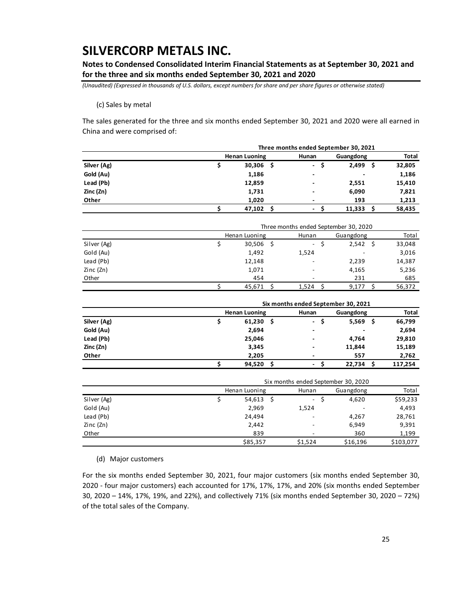**Notes to Condensed Consolidated Interim Financial Statements as at September 30, 2021 and for the three and six months ended September 30, 2021 and 2020**

*(Unaudited) (Expressed in thousands of U.S. dollars, except numbers for share and per share figures or otherwise stated)*

(c) Sales by metal

The sales generated for the three and six months ended September 30, 2021 and 2020 were all earned in China and were comprised of:

|             | Three months ended September 30, 2021 |                          |            |              |  |  |  |  |  |  |
|-------------|---------------------------------------|--------------------------|------------|--------------|--|--|--|--|--|--|
|             | <b>Henan Luoning</b>                  | Hunan                    | Guangdong  | <b>Total</b> |  |  |  |  |  |  |
| Silver (Ag) | 30,306<br>- \$                        | $\overline{\phantom{a}}$ | 2,499<br>S | 32,805       |  |  |  |  |  |  |
| Gold (Au)   | 1,186                                 | $\overline{\phantom{0}}$ | ۰          | 1,186        |  |  |  |  |  |  |
| Lead (Pb)   | 12,859                                | $\overline{\phantom{0}}$ | 2,551      | 15,410       |  |  |  |  |  |  |
| Zinc (Zn)   | 1,731                                 | $\overline{\phantom{0}}$ | 6,090      | 7,821        |  |  |  |  |  |  |
| Other       | 1,020                                 | $\overline{\phantom{0}}$ | 193        | 1,213        |  |  |  |  |  |  |
|             | 47,102                                | -                        | 11.333     | 58,435       |  |  |  |  |  |  |

|             | Three months ended September 30, 2020 |               |                          |           |        |  |  |  |  |  |
|-------------|---------------------------------------|---------------|--------------------------|-----------|--------|--|--|--|--|--|
|             |                                       | Henan Luoning | Hunan                    | Guangdong | Total  |  |  |  |  |  |
| Silver (Ag) |                                       | $30,506$ \$   | $\overline{\phantom{a}}$ | 2,542     | 33,048 |  |  |  |  |  |
| Gold (Au)   |                                       | 1,492         | 1,524                    | ۰         | 3,016  |  |  |  |  |  |
| Lead (Pb)   |                                       | 12,148        |                          | 2,239     | 14,387 |  |  |  |  |  |
| Zinc (Zn)   |                                       | 1,071         |                          | 4,165     | 5,236  |  |  |  |  |  |
| Other       |                                       | 454           |                          | 231       | 685    |  |  |  |  |  |
|             |                                       | 45,671        | 1.524                    | 9,177     | 56,372 |  |  |  |  |  |

|             |   | Six months ended September 30, 2021 |                          |              |         |  |  |  |  |  |  |
|-------------|---|-------------------------------------|--------------------------|--------------|---------|--|--|--|--|--|--|
|             |   | <b>Henan Luoning</b>                | Hunan                    | Guangdong    | Total   |  |  |  |  |  |  |
| Silver (Ag) | S | 61,230<br>- \$                      | $\blacksquare$<br>Ś      | 5,569<br>\$. | 66,799  |  |  |  |  |  |  |
| Gold (Au)   |   | 2,694                               | $\blacksquare$           | ۰            | 2,694   |  |  |  |  |  |  |
| Lead (Pb)   |   | 25,046                              | $\overline{\phantom{0}}$ | 4.764        | 29,810  |  |  |  |  |  |  |
| Zinc (Zn)   |   | 3,345                               | $\blacksquare$           | 11,844       | 15,189  |  |  |  |  |  |  |
| Other       |   | 2,205                               | $\overline{\phantom{0}}$ | 557          | 2,762   |  |  |  |  |  |  |
|             |   | 94,520<br>- S                       | -                        | 22.734<br>S  | 117.254 |  |  |  |  |  |  |

|             | Six months ended September 30, 2020 |         |           |           |  |  |  |  |  |
|-------------|-------------------------------------|---------|-----------|-----------|--|--|--|--|--|
|             | Henan Luoning                       | Hunan   | Guangdong | Total     |  |  |  |  |  |
| Silver (Ag) | $54,613$ \$                         | $\sim$  | 4,620     | \$59,233  |  |  |  |  |  |
| Gold (Au)   | 2,969                               | 1,524   |           | 4,493     |  |  |  |  |  |
| Lead (Pb)   | 24.494                              |         | 4.267     | 28,761    |  |  |  |  |  |
| Zinc (Zn)   | 2,442                               | ۰       | 6,949     | 9,391     |  |  |  |  |  |
| Other       | 839                                 |         | 360       | 1,199     |  |  |  |  |  |
|             | \$85,357                            | \$1,524 | \$16,196  | \$103,077 |  |  |  |  |  |

(d) Major customers

For the six months ended September 30, 2021, four major customers (six months ended September 30, 2020 - four major customers) each accounted for 17%, 17%, 17%, and 20% (six months ended September 30, 2020 – 14%, 17%, 19%, and 22%), and collectively 71% (six months ended September 30, 2020 – 72%) of the total sales of the Company.